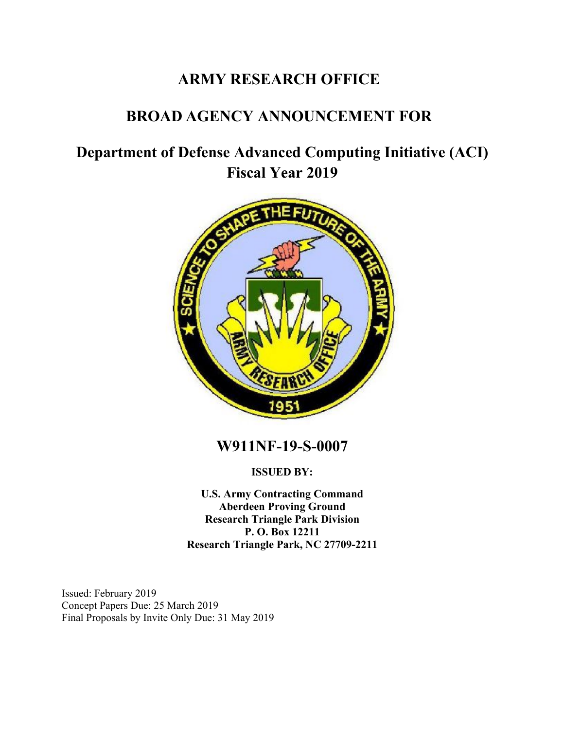# **ARMY RESEARCH OFFICE**

# **BROAD AGENCY ANNOUNCEMENT FOR**

# **Department of Defense Advanced Computing Initiative (ACI) Fiscal Year 2019**



**W911NF-19-S-0007**

**ISSUED BY:**

**U.S. Army Contracting Command Aberdeen Proving Ground Research Triangle Park Division P. O. Box 12211 Research Triangle Park, NC 27709-2211** 

Issued: February 2019 Concept Papers Due: 25 March 2019 Final Proposals by Invite Only Due: 31 May 2019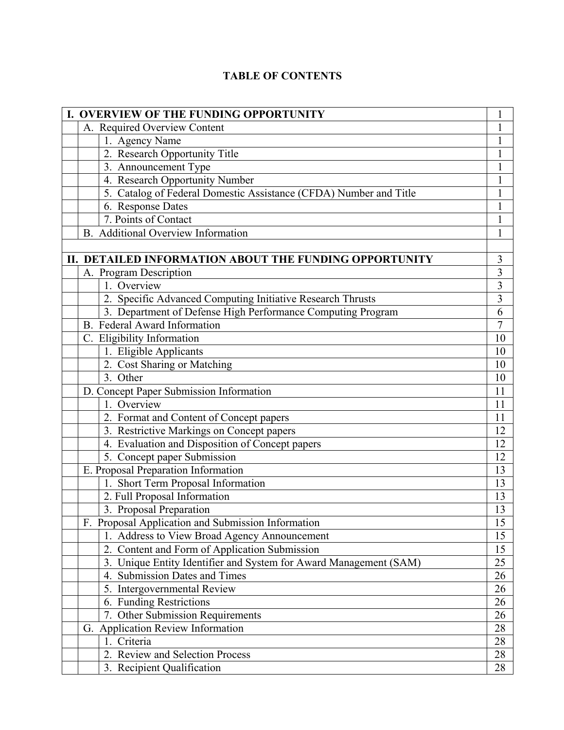## **TABLE OF CONTENTS**

| I. OVERVIEW OF THE FUNDING OPPORTUNITY                            | 1               |
|-------------------------------------------------------------------|-----------------|
| A. Required Overview Content                                      | $\mathbf{1}$    |
| 1. Agency Name                                                    | 1               |
| 2. Research Opportunity Title                                     | $\mathbf{1}$    |
| 3. Announcement Type                                              | 1               |
| 4. Research Opportunity Number                                    | 1               |
| 5. Catalog of Federal Domestic Assistance (CFDA) Number and Title | $\mathbf{1}$    |
| 6. Response Dates                                                 | $\mathbf{1}$    |
| 7. Points of Contact                                              | 1               |
| B. Additional Overview Information                                | $\mathbf{1}$    |
|                                                                   |                 |
| II. DETAILED INFORMATION ABOUT THE FUNDING OPPORTUNITY            | 3               |
| A. Program Description                                            | $\overline{3}$  |
| 1. Overview                                                       | $\overline{3}$  |
| 2. Specific Advanced Computing Initiative Research Thrusts        | $\overline{3}$  |
| 3. Department of Defense High Performance Computing Program       | 6               |
| <b>B.</b> Federal Award Information                               | 7               |
| C. Eligibility Information                                        | 10              |
| 1. Eligible Applicants                                            | 10              |
| 2. Cost Sharing or Matching                                       | 10              |
| 3. Other                                                          | 10              |
| D. Concept Paper Submission Information                           | 11              |
| 1. Overview                                                       | 11              |
| 2. Format and Content of Concept papers                           | 11              |
| 3. Restrictive Markings on Concept papers                         | 12              |
| 4. Evaluation and Disposition of Concept papers                   | 12              |
| 5. Concept paper Submission                                       | 12              |
| E. Proposal Preparation Information                               | 13              |
| 1. Short Term Proposal Information                                | 13              |
| 2. Full Proposal Information                                      | 13              |
| 3. Proposal Preparation                                           | 13              |
| F. Proposal Application and Submission Information                | $\overline{15}$ |
| 1. Address to View Broad Agency Announcement                      | 15              |
| 2. Content and Form of Application Submission                     | 15              |
| 3. Unique Entity Identifier and System for Award Management (SAM) | 25              |
| 4. Submission Dates and Times                                     | 26              |
| 5. Intergovernmental Review                                       | 26              |
| 6. Funding Restrictions                                           | 26              |
| 7. Other Submission Requirements                                  | 26              |
| <b>Application Review Information</b><br>G.                       | 28              |
| 1. Criteria                                                       | 28              |
| 2. Review and Selection Process                                   | 28              |
| 3. Recipient Qualification                                        | 28              |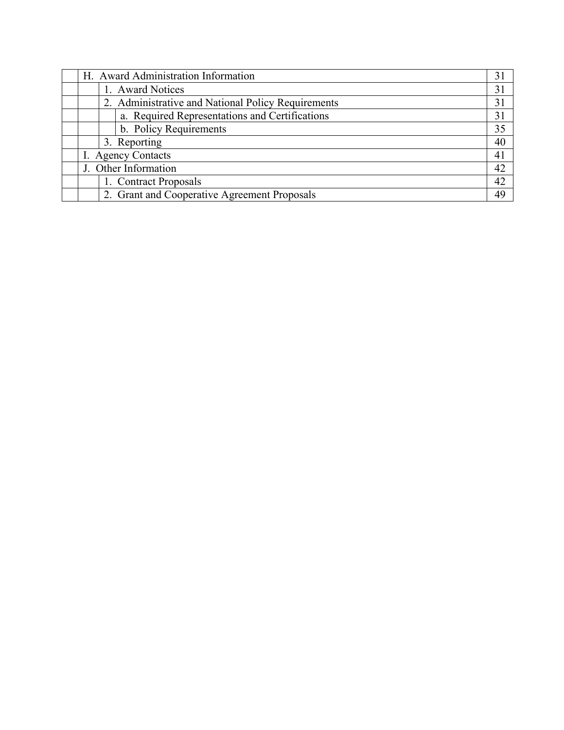|  | H. Award Administration Information                | 31 |
|--|----------------------------------------------------|----|
|  | 1. Award Notices                                   | 31 |
|  | 2. Administrative and National Policy Requirements | 31 |
|  | a. Required Representations and Certifications     | 31 |
|  | b. Policy Requirements                             | 35 |
|  | 3. Reporting                                       | 40 |
|  | I. Agency Contacts                                 | 41 |
|  | J. Other Information                               | 42 |
|  | 1. Contract Proposals                              | 42 |
|  | 2. Grant and Cooperative Agreement Proposals       | 49 |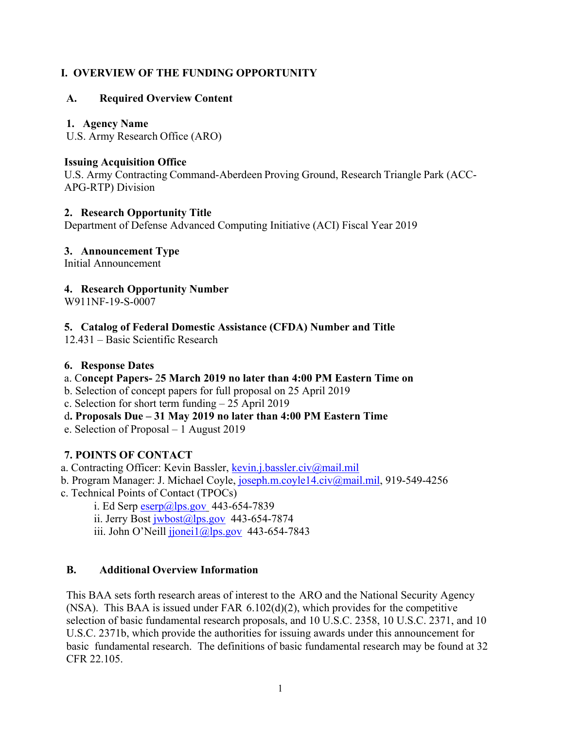## **I. OVERVIEW OF THE FUNDING OPPORTUNITY**

## **A. Required Overview Content**

#### **1. Agency Name**

U.S. Army Research Office (ARO)

#### **Issuing Acquisition Office**

U.S. Army Contracting Command-Aberdeen Proving Ground, Research Triangle Park (ACC-APG-RTP) Division

#### **2. Research Opportunity Title**

Department of Defense Advanced Computing Initiative (ACI) Fiscal Year 2019

## **3. Announcement Type**

Initial Announcement

## **4. Research Opportunity Number**

W911NF-19-S-0007

## **5. Catalog of Federal Domestic Assistance (CFDA) Number and Title**

12.431 – Basic Scientific Research

#### **6. Response Dates**

## a. C**oncept Papers-** 2**5 March 2019 no later than 4:00 PM Eastern Time on**

- b. Selection of concept papers for full proposal on 25 April 2019
- c. Selection for short term funding 25 April 2019
- d**. Proposals Due 31 May 2019 no later than 4:00 PM Eastern Time**
- e. Selection of Proposal 1 August 2019

## **7. POINTS OF CONTACT**

a. Contracting Officer: Kevin Bassler, kevin.j.bassler.civ@mail.mil

- b. Program Manager: J. Michael Coyle, joseph.m.coyle14.civ@mail.mil, 919-549-4256
- c. Technical Points of Contact (TPOCs)
	- i. Ed Serp  $\exp(a)$ lps.gov 443-654-7839
	- ii. Jerry Bost  $i$ wbost $@$ lps.gov 443-654-7874
	- iii. John O'Neill jjonei1@lps.gov 443-654-7843

## **B. Additional Overview Information**

This BAA sets forth research areas of interest to the ARO and the National Security Agency (NSA). This BAA is issued under FAR 6.102(d)(2), which provides for the competitive selection of basic fundamental research proposals, and 10 U.S.C. 2358, 10 U.S.C. 2371, and 10 U.S.C. 2371b, which provide the authorities for issuing awards under this announcement for basic fundamental research. The definitions of basic fundamental research may be found at 32 CFR 22.105.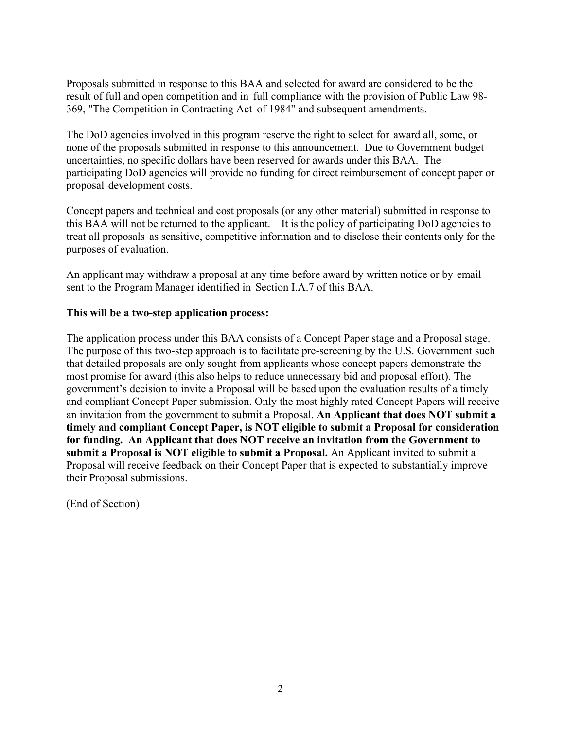Proposals submitted in response to this BAA and selected for award are considered to be the result of full and open competition and in full compliance with the provision of Public Law 98- 369, "The Competition in Contracting Act of 1984" and subsequent amendments.

The DoD agencies involved in this program reserve the right to select for award all, some, or none of the proposals submitted in response to this announcement. Due to Government budget uncertainties, no specific dollars have been reserved for awards under this BAA. The participating DoD agencies will provide no funding for direct reimbursement of concept paper or proposal development costs.

Concept papers and technical and cost proposals (or any other material) submitted in response to this BAA will not be returned to the applicant. It is the policy of participating DoD agencies to treat all proposals as sensitive, competitive information and to disclose their contents only for the purposes of evaluation.

An applicant may withdraw a proposal at any time before award by written notice or by email sent to the Program Manager identified in Section I.A.7 of this BAA.

#### **This will be a two-step application process:**

The application process under this BAA consists of a Concept Paper stage and a Proposal stage. The purpose of this two-step approach is to facilitate pre-screening by the U.S. Government such that detailed proposals are only sought from applicants whose concept papers demonstrate the most promise for award (this also helps to reduce unnecessary bid and proposal effort). The government's decision to invite a Proposal will be based upon the evaluation results of a timely and compliant Concept Paper submission. Only the most highly rated Concept Papers will receive an invitation from the government to submit a Proposal. **An Applicant that does NOT submit a timely and compliant Concept Paper, is NOT eligible to submit a Proposal for consideration for funding. An Applicant that does NOT receive an invitation from the Government to submit a Proposal is NOT eligible to submit a Proposal.** An Applicant invited to submit a Proposal will receive feedback on their Concept Paper that is expected to substantially improve their Proposal submissions.

(End of Section)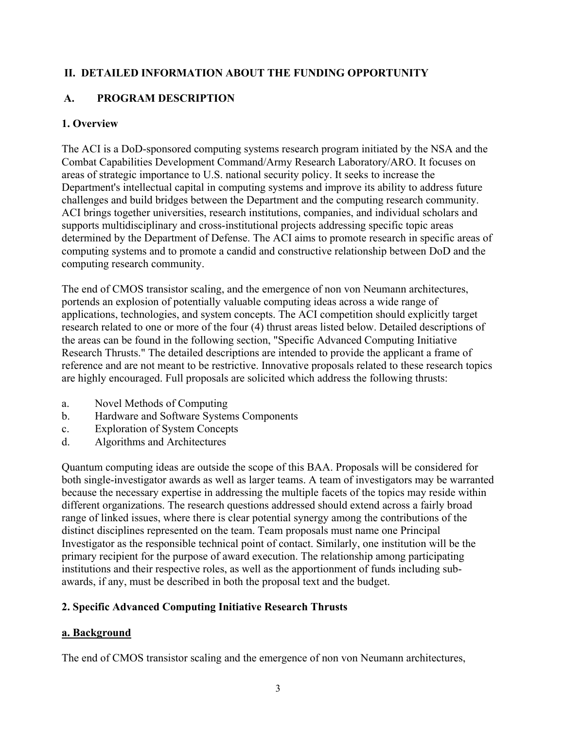## **II. DETAILED INFORMATION ABOUT THE FUNDING OPPORTUNITY**

## **A. PROGRAM DESCRIPTION**

## **1. Overview**

The ACI is a DoD-sponsored computing systems research program initiated by the NSA and the Combat Capabilities Development Command/Army Research Laboratory/ARO. It focuses on areas of strategic importance to U.S. national security policy. It seeks to increase the Department's intellectual capital in computing systems and improve its ability to address future challenges and build bridges between the Department and the computing research community. ACI brings together universities, research institutions, companies, and individual scholars and supports multidisciplinary and cross-institutional projects addressing specific topic areas determined by the Department of Defense. The ACI aims to promote research in specific areas of computing systems and to promote a candid and constructive relationship between DoD and the computing research community.

The end of CMOS transistor scaling, and the emergence of non von Neumann architectures, portends an explosion of potentially valuable computing ideas across a wide range of applications, technologies, and system concepts. The ACI competition should explicitly target research related to one or more of the four (4) thrust areas listed below. Detailed descriptions of the areas can be found in the following section, "Specific Advanced Computing Initiative Research Thrusts." The detailed descriptions are intended to provide the applicant a frame of reference and are not meant to be restrictive. Innovative proposals related to these research topics are highly encouraged. Full proposals are solicited which address the following thrusts:

- a. Novel Methods of Computing
- b. Hardware and Software Systems Components
- c. Exploration of System Concepts
- d. Algorithms and Architectures

Quantum computing ideas are outside the scope of this BAA. Proposals will be considered for both single-investigator awards as well as larger teams. A team of investigators may be warranted because the necessary expertise in addressing the multiple facets of the topics may reside within different organizations. The research questions addressed should extend across a fairly broad range of linked issues, where there is clear potential synergy among the contributions of the distinct disciplines represented on the team. Team proposals must name one Principal Investigator as the responsible technical point of contact. Similarly, one institution will be the primary recipient for the purpose of award execution. The relationship among participating institutions and their respective roles, as well as the apportionment of funds including subawards, if any, must be described in both the proposal text and the budget.

## **2. Specific Advanced Computing Initiative Research Thrusts**

## **a. Background**

The end of CMOS transistor scaling and the emergence of non von Neumann architectures,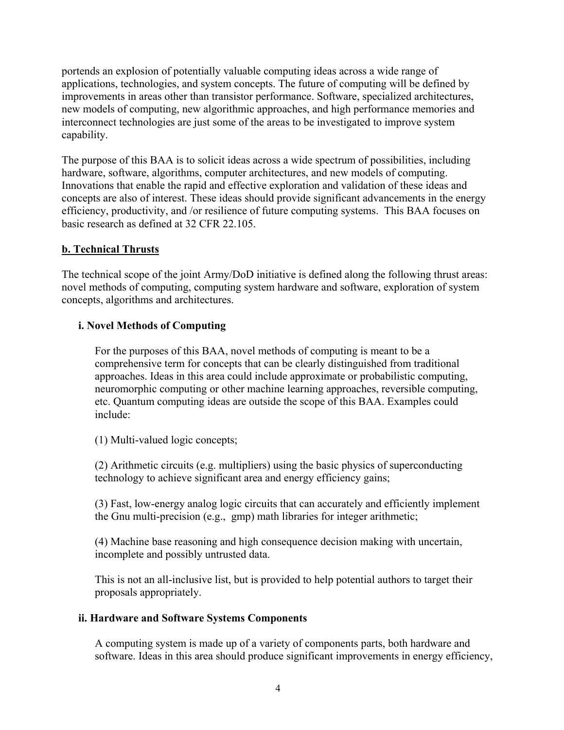portends an explosion of potentially valuable computing ideas across a wide range of applications, technologies, and system concepts. The future of computing will be defined by improvements in areas other than transistor performance. Software, specialized architectures, new models of computing, new algorithmic approaches, and high performance memories and interconnect technologies are just some of the areas to be investigated to improve system capability.

The purpose of this BAA is to solicit ideas across a wide spectrum of possibilities, including hardware, software, algorithms, computer architectures, and new models of computing. Innovations that enable the rapid and effective exploration and validation of these ideas and concepts are also of interest. These ideas should provide significant advancements in the energy efficiency, productivity, and /or resilience of future computing systems. This BAA focuses on basic research as defined at 32 CFR 22.105.

#### **b. Technical Thrusts**

The technical scope of the joint Army/DoD initiative is defined along the following thrust areas: novel methods of computing, computing system hardware and software, exploration of system concepts, algorithms and architectures.

#### **i. Novel Methods of Computing**

For the purposes of this BAA, novel methods of computing is meant to be a comprehensive term for concepts that can be clearly distinguished from traditional approaches. Ideas in this area could include approximate or probabilistic computing, neuromorphic computing or other machine learning approaches, reversible computing, etc. Quantum computing ideas are outside the scope of this BAA. Examples could include:

(1) Multi-valued logic concepts;

(2) Arithmetic circuits (e.g. multipliers) using the basic physics of superconducting technology to achieve significant area and energy efficiency gains;

(3) Fast, low-energy analog logic circuits that can accurately and efficiently implement the Gnu multi-precision (e.g., gmp) math libraries for integer arithmetic;

(4) Machine base reasoning and high consequence decision making with uncertain, incomplete and possibly untrusted data.

This is not an all-inclusive list, but is provided to help potential authors to target their proposals appropriately.

#### **ii. Hardware and Software Systems Components**

A computing system is made up of a variety of components parts, both hardware and software. Ideas in this area should produce significant improvements in energy efficiency,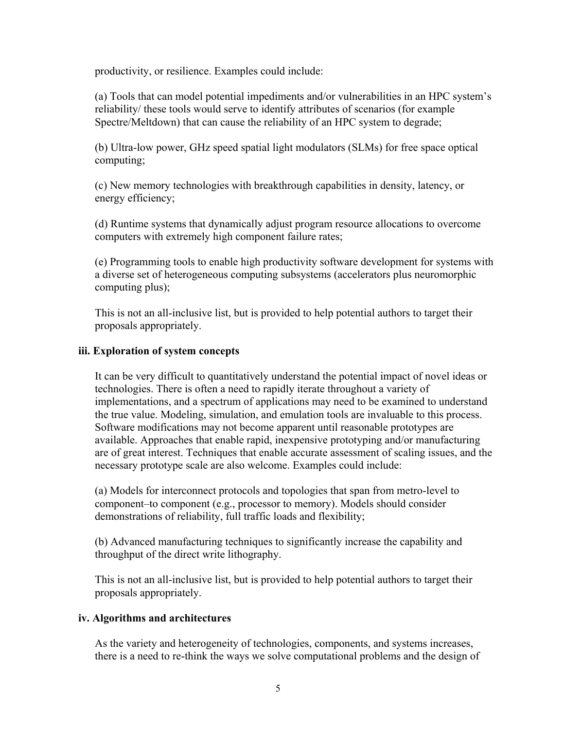productivity, or resilience. Examples could include:

(a) Tools that can model potential impediments and/or vulnerabilities in an HPC system's reliability/ these tools would serve to identify attributes of scenarios (for example Spectre/Meltdown) that can cause the reliability of an HPC system to degrade;

(b) Ultra-low power, GHz speed spatial light modulators (SLMs) for free space optical computing;

(c) New memory technologies with breakthrough capabilities in density, latency, or energy efficiency;

(d) Runtime systems that dynamically adjust program resource allocations to overcome computers with extremely high component failure rates;

(e) Programming tools to enable high productivity software development for systems with a diverse set of heterogeneous computing subsystems (accelerators plus neuromorphic computing plus);

This is not an all-inclusive list, but is provided to help potential authors to target their proposals appropriately.

## **iii. Exploration of system concepts**

It can be very difficult to quantitatively understand the potential impact of novel ideas or technologies. There is often a need to rapidly iterate throughout a variety of implementations, and a spectrum of applications may need to be examined to understand the true value. Modeling, simulation, and emulation tools are invaluable to this process. Software modifications may not become apparent until reasonable prototypes are available. Approaches that enable rapid, inexpensive prototyping and/or manufacturing are of great interest. Techniques that enable accurate assessment of scaling issues, and the necessary prototype scale are also welcome. Examples could include:

(a) Models for interconnect protocols and topologies that span from metro-level to component–to component (e.g., processor to memory). Models should consider demonstrations of reliability, full traffic loads and flexibility;

(b) Advanced manufacturing techniques to significantly increase the capability and throughput of the direct write lithography.

This is not an all-inclusive list, but is provided to help potential authors to target their proposals appropriately.

## **iv. Algorithms and architectures**

As the variety and heterogeneity of technologies, components, and systems increases, there is a need to re-think the ways we solve computational problems and the design of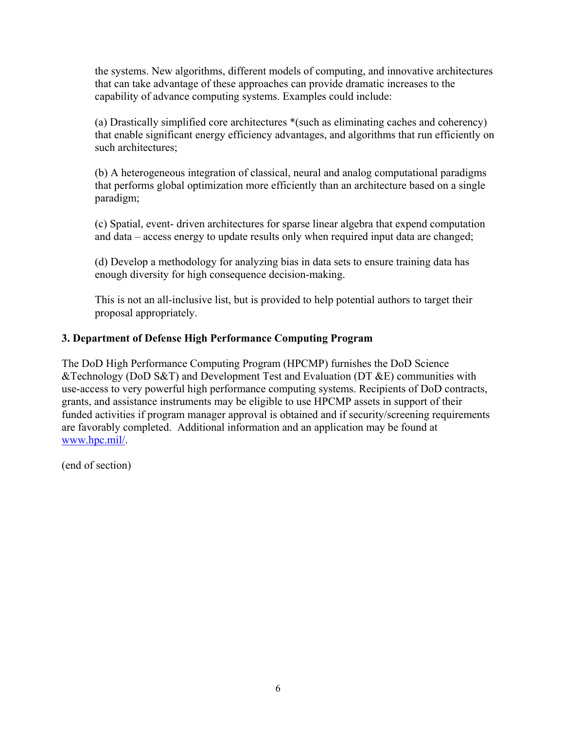the systems. New algorithms, different models of computing, and innovative architectures that can take advantage of these approaches can provide dramatic increases to the capability of advance computing systems. Examples could include:

(a) Drastically simplified core architectures \*(such as eliminating caches and coherency) that enable significant energy efficiency advantages, and algorithms that run efficiently on such architectures;

(b) A heterogeneous integration of classical, neural and analog computational paradigms that performs global optimization more efficiently than an architecture based on a single paradigm;

(c) Spatial, event- driven architectures for sparse linear algebra that expend computation and data – access energy to update results only when required input data are changed;

(d) Develop a methodology for analyzing bias in data sets to ensure training data has enough diversity for high consequence decision-making.

This is not an all-inclusive list, but is provided to help potential authors to target their proposal appropriately.

## **3. Department of Defense High Performance Computing Program**

The DoD High Performance Computing Program (HPCMP) furnishes the DoD Science &Technology (DoD S&T) and Development Test and Evaluation (DT &E) communities with use-access to very powerful high performance computing systems. Recipients of DoD contracts, grants, and assistance instruments may be eligible to use HPCMP assets in support of their funded activities if program manager approval is obtained and if security/screening requirements are favorably completed. Additional information and an application may be found at www.hpc.mil/.

(end of section)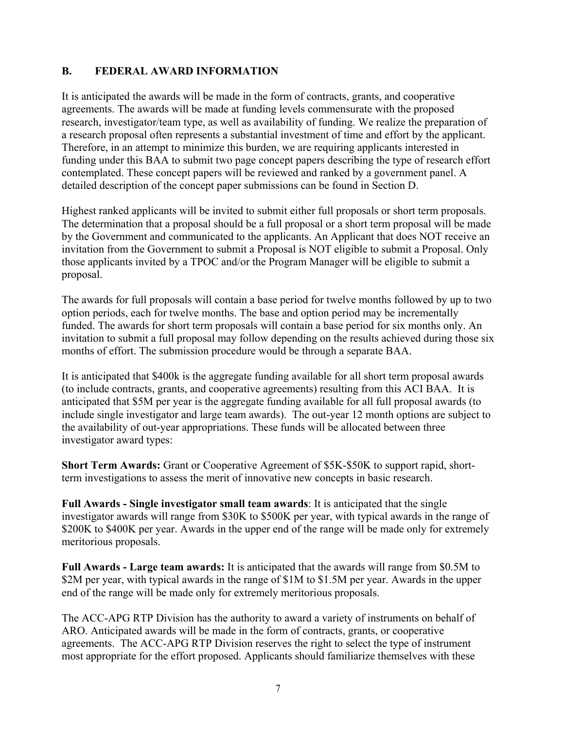## **B. FEDERAL AWARD INFORMATION**

It is anticipated the awards will be made in the form of contracts, grants, and cooperative agreements. The awards will be made at funding levels commensurate with the proposed research, investigator/team type, as well as availability of funding. We realize the preparation of a research proposal often represents a substantial investment of time and effort by the applicant. Therefore, in an attempt to minimize this burden, we are requiring applicants interested in funding under this BAA to submit two page concept papers describing the type of research effort contemplated. These concept papers will be reviewed and ranked by a government panel. A detailed description of the concept paper submissions can be found in Section D.

Highest ranked applicants will be invited to submit either full proposals or short term proposals. The determination that a proposal should be a full proposal or a short term proposal will be made by the Government and communicated to the applicants. An Applicant that does NOT receive an invitation from the Government to submit a Proposal is NOT eligible to submit a Proposal. Only those applicants invited by a TPOC and/or the Program Manager will be eligible to submit a proposal.

The awards for full proposals will contain a base period for twelve months followed by up to two option periods, each for twelve months. The base and option period may be incrementally funded. The awards for short term proposals will contain a base period for six months only. An invitation to submit a full proposal may follow depending on the results achieved during those six months of effort. The submission procedure would be through a separate BAA.

It is anticipated that \$400k is the aggregate funding available for all short term proposal awards (to include contracts, grants, and cooperative agreements) resulting from this ACI BAA. It is anticipated that \$5M per year is the aggregate funding available for all full proposal awards (to include single investigator and large team awards). The out-year 12 month options are subject to the availability of out-year appropriations. These funds will be allocated between three investigator award types:

**Short Term Awards:** Grant or Cooperative Agreement of \$5K-\$50K to support rapid, shortterm investigations to assess the merit of innovative new concepts in basic research.

**Full Awards - Single investigator small team awards**: It is anticipated that the single investigator awards will range from \$30K to \$500K per year, with typical awards in the range of \$200K to \$400K per year. Awards in the upper end of the range will be made only for extremely meritorious proposals.

**Full Awards - Large team awards:** It is anticipated that the awards will range from \$0.5M to \$2M per year, with typical awards in the range of \$1M to \$1.5M per year. Awards in the upper end of the range will be made only for extremely meritorious proposals.

The ACC-APG RTP Division has the authority to award a variety of instruments on behalf of ARO. Anticipated awards will be made in the form of contracts, grants, or cooperative agreements. The ACC-APG RTP Division reserves the right to select the type of instrument most appropriate for the effort proposed. Applicants should familiarize themselves with these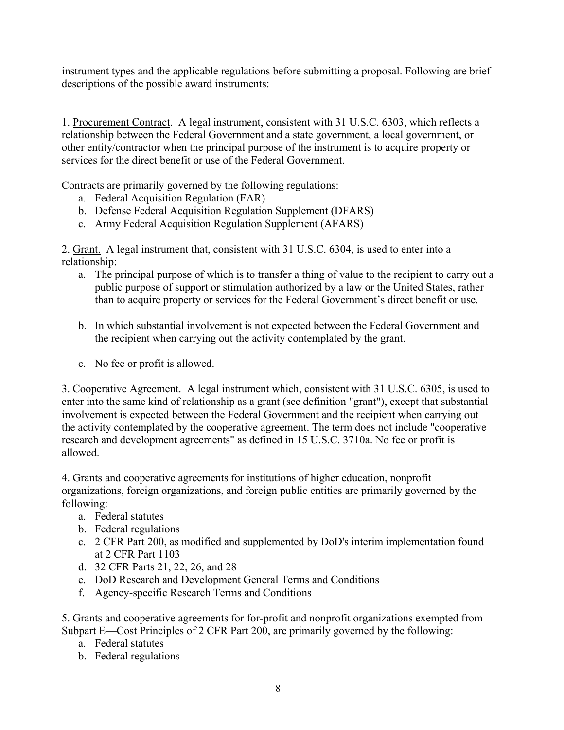instrument types and the applicable regulations before submitting a proposal. Following are brief descriptions of the possible award instruments:

1. Procurement Contract. A legal instrument, consistent with 31 U.S.C. 6303, which reflects a relationship between the Federal Government and a state government, a local government, or other entity/contractor when the principal purpose of the instrument is to acquire property or services for the direct benefit or use of the Federal Government.

Contracts are primarily governed by the following regulations:

- a. Federal Acquisition Regulation (FAR)
- b. Defense Federal Acquisition Regulation Supplement (DFARS)
- c. Army Federal Acquisition Regulation Supplement (AFARS)

2. Grant. A legal instrument that, consistent with 31 U.S.C. 6304, is used to enter into a relationship:

- a. The principal purpose of which is to transfer a thing of value to the recipient to carry out a public purpose of support or stimulation authorized by a law or the United States, rather than to acquire property or services for the Federal Government's direct benefit or use.
- b. In which substantial involvement is not expected between the Federal Government and the recipient when carrying out the activity contemplated by the grant.
- c. No fee or profit is allowed.

3. Cooperative Agreement. A legal instrument which, consistent with 31 U.S.C. 6305, is used to enter into the same kind of relationship as a grant (see definition "grant"), except that substantial involvement is expected between the Federal Government and the recipient when carrying out the activity contemplated by the cooperative agreement. The term does not include "cooperative research and development agreements" as defined in 15 U.S.C. 3710a. No fee or profit is allowed.

4. Grants and cooperative agreements for institutions of higher education, nonprofit organizations, foreign organizations, and foreign public entities are primarily governed by the following:

- a. Federal statutes
- b. Federal regulations
- c. 2 CFR Part 200, as modified and supplemented by DoD's interim implementation found at 2 CFR Part 1103
- d. 32 CFR Parts 21, 22, 26, and 28
- e. DoD Research and Development General Terms and Conditions
- f. Agency-specific Research Terms and Conditions

5. Grants and cooperative agreements for for-profit and nonprofit organizations exempted from Subpart E—Cost Principles of 2 CFR Part 200, are primarily governed by the following:

- a. Federal statutes
- b. Federal regulations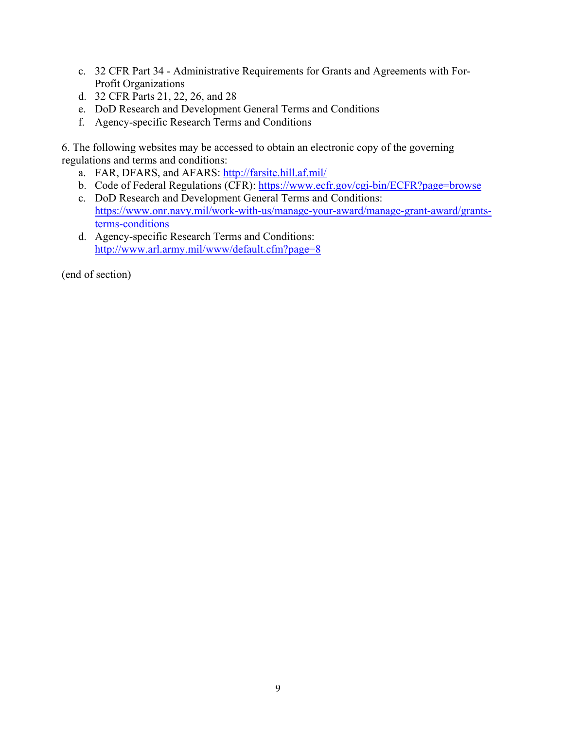- c. 32 CFR Part 34 Administrative Requirements for Grants and Agreements with For-Profit Organizations
- d. 32 CFR Parts 21, 22, 26, and 28
- e. DoD Research and Development General Terms and Conditions
- f. Agency-specific Research Terms and Conditions

6. The following websites may be accessed to obtain an electronic copy of the governing regulations and terms and conditions:

- a. FAR, DFARS, and AFARS: http://farsite.hill.af.mil/
- b. Code of Federal Regulations (CFR): https://www.ecfr.gov/cgi-bin/ECFR?page=browse
- c. DoD Research and Development General Terms and Conditions: https://www.onr.navy.mil/work-with-us/manage-your-award/manage-grant-award/grantsterms-conditions
- d. Agency-specific Research Terms and Conditions: http://www.arl.army.mil/www/default.cfm?page=8

(end of section)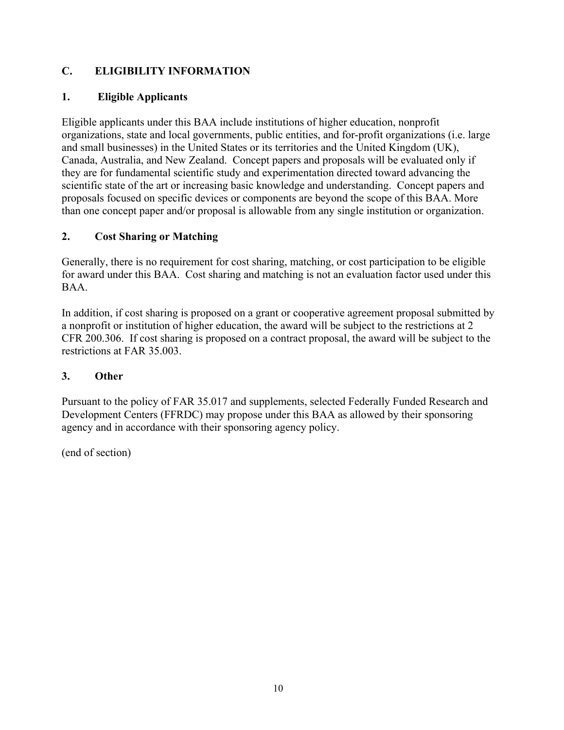## **C. ELIGIBILITY INFORMATION**

## **1. Eligible Applicants**

Eligible applicants under this BAA include institutions of higher education, nonprofit organizations, state and local governments, public entities, and for-profit organizations (i.e. large and small businesses) in the United States or its territories and the United Kingdom (UK), Canada, Australia, and New Zealand. Concept papers and proposals will be evaluated only if they are for fundamental scientific study and experimentation directed toward advancing the scientific state of the art or increasing basic knowledge and understanding. Concept papers and proposals focused on specific devices or components are beyond the scope of this BAA. More than one concept paper and/or proposal is allowable from any single institution or organization.

## **2. Cost Sharing or Matching**

Generally, there is no requirement for cost sharing, matching, or cost participation to be eligible for award under this BAA. Cost sharing and matching is not an evaluation factor used under this BAA.

In addition, if cost sharing is proposed on a grant or cooperative agreement proposal submitted by a nonprofit or institution of higher education, the award will be subject to the restrictions at 2 CFR 200.306. If cost sharing is proposed on a contract proposal, the award will be subject to the restrictions at FAR 35.003.

## **3. Other**

Pursuant to the policy of FAR 35.017 and supplements, selected Federally Funded Research and Development Centers (FFRDC) may propose under this BAA as allowed by their sponsoring agency and in accordance with their sponsoring agency policy.

(end of section)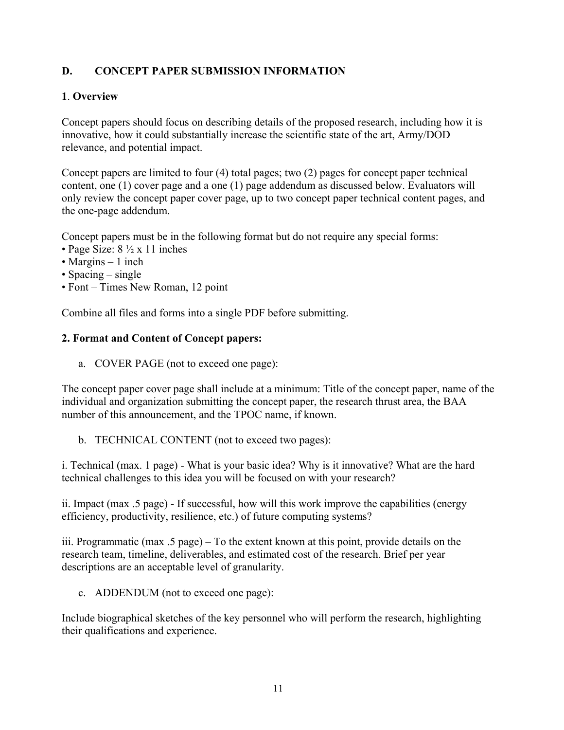## **D. CONCEPT PAPER SUBMISSION INFORMATION**

#### **1**. **Overview**

Concept papers should focus on describing details of the proposed research, including how it is innovative, how it could substantially increase the scientific state of the art, Army/DOD relevance, and potential impact.

Concept papers are limited to four (4) total pages; two (2) pages for concept paper technical content, one (1) cover page and a one (1) page addendum as discussed below. Evaluators will only review the concept paper cover page, up to two concept paper technical content pages, and the one-page addendum.

Concept papers must be in the following format but do not require any special forms:

- Page Size:  $8\frac{1}{2} \times 11$  inches
- Margins 1 inch
- Spacing single
- Font Times New Roman, 12 point

Combine all files and forms into a single PDF before submitting.

#### **2. Format and Content of Concept papers:**

a. COVER PAGE (not to exceed one page):

The concept paper cover page shall include at a minimum: Title of the concept paper, name of the individual and organization submitting the concept paper, the research thrust area, the BAA number of this announcement, and the TPOC name, if known.

b. TECHNICAL CONTENT (not to exceed two pages):

i. Technical (max. 1 page) - What is your basic idea? Why is it innovative? What are the hard technical challenges to this idea you will be focused on with your research?

ii. Impact (max .5 page) - If successful, how will this work improve the capabilities (energy efficiency, productivity, resilience, etc.) of future computing systems?

iii. Programmatic (max .5 page) – To the extent known at this point, provide details on the research team, timeline, deliverables, and estimated cost of the research. Brief per year descriptions are an acceptable level of granularity.

c. ADDENDUM (not to exceed one page):

Include biographical sketches of the key personnel who will perform the research, highlighting their qualifications and experience.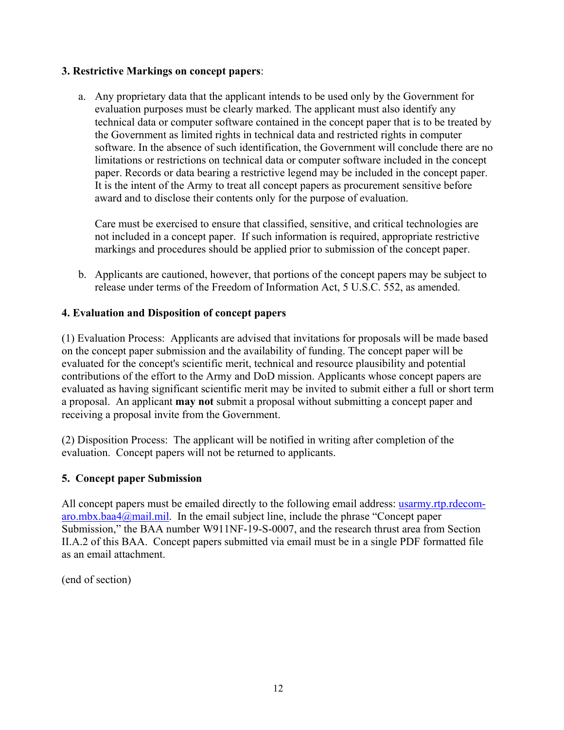#### **3. Restrictive Markings on concept papers**:

a. Any proprietary data that the applicant intends to be used only by the Government for evaluation purposes must be clearly marked. The applicant must also identify any technical data or computer software contained in the concept paper that is to be treated by the Government as limited rights in technical data and restricted rights in computer software. In the absence of such identification, the Government will conclude there are no limitations or restrictions on technical data or computer software included in the concept paper. Records or data bearing a restrictive legend may be included in the concept paper. It is the intent of the Army to treat all concept papers as procurement sensitive before award and to disclose their contents only for the purpose of evaluation.

Care must be exercised to ensure that classified, sensitive, and critical technologies are not included in a concept paper. If such information is required, appropriate restrictive markings and procedures should be applied prior to submission of the concept paper.

b. Applicants are cautioned, however, that portions of the concept papers may be subject to release under terms of the Freedom of Information Act, 5 U.S.C. 552, as amended.

#### **4. Evaluation and Disposition of concept papers**

(1) Evaluation Process: Applicants are advised that invitations for proposals will be made based on the concept paper submission and the availability of funding. The concept paper will be evaluated for the concept's scientific merit, technical and resource plausibility and potential contributions of the effort to the Army and DoD mission. Applicants whose concept papers are evaluated as having significant scientific merit may be invited to submit either a full or short term a proposal. An applicant **may not** submit a proposal without submitting a concept paper and receiving a proposal invite from the Government.

(2) Disposition Process: The applicant will be notified in writing after completion of the evaluation. Concept papers will not be returned to applicants.

## **5. Concept paper Submission**

All concept papers must be emailed directly to the following email address: usarmy.rtp.rdecom $aro.mbx.baa4@mail.mil.$  In the email subject line, include the phrase "Concept paper Submission," the BAA number W911NF-19-S-0007, and the research thrust area from Section II.A.2 of this BAA. Concept papers submitted via email must be in a single PDF formatted file as an email attachment.

(end of section)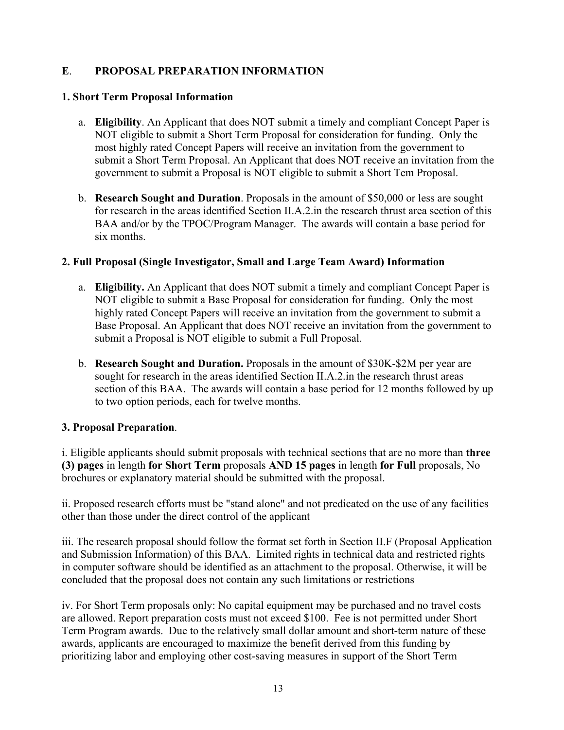## **E**. **PROPOSAL PREPARATION INFORMATION**

#### **1. Short Term Proposal Information**

- a. **Eligibility**. An Applicant that does NOT submit a timely and compliant Concept Paper is NOT eligible to submit a Short Term Proposal for consideration for funding. Only the most highly rated Concept Papers will receive an invitation from the government to submit a Short Term Proposal. An Applicant that does NOT receive an invitation from the government to submit a Proposal is NOT eligible to submit a Short Tem Proposal.
- b. **Research Sought and Duration**. Proposals in the amount of \$50,000 or less are sought for research in the areas identified Section II.A.2.in the research thrust area section of this BAA and/or by the TPOC/Program Manager. The awards will contain a base period for six months.

## **2. Full Proposal (Single Investigator, Small and Large Team Award) Information**

- a. **Eligibility.** An Applicant that does NOT submit a timely and compliant Concept Paper is NOT eligible to submit a Base Proposal for consideration for funding. Only the most highly rated Concept Papers will receive an invitation from the government to submit a Base Proposal. An Applicant that does NOT receive an invitation from the government to submit a Proposal is NOT eligible to submit a Full Proposal.
- b. **Research Sought and Duration.** Proposals in the amount of \$30K-\$2M per year are sought for research in the areas identified Section II.A.2.in the research thrust areas section of this BAA. The awards will contain a base period for 12 months followed by up to two option periods, each for twelve months.

## **3. Proposal Preparation**.

i. Eligible applicants should submit proposals with technical sections that are no more than **three (3) pages** in length **for Short Term** proposals **AND 15 pages** in length **for Full** proposals, No brochures or explanatory material should be submitted with the proposal.

ii. Proposed research efforts must be "stand alone" and not predicated on the use of any facilities other than those under the direct control of the applicant

iii. The research proposal should follow the format set forth in Section II.F (Proposal Application and Submission Information) of this BAA. Limited rights in technical data and restricted rights in computer software should be identified as an attachment to the proposal. Otherwise, it will be concluded that the proposal does not contain any such limitations or restrictions

iv. For Short Term proposals only: No capital equipment may be purchased and no travel costs are allowed. Report preparation costs must not exceed \$100. Fee is not permitted under Short Term Program awards. Due to the relatively small dollar amount and short-term nature of these awards, applicants are encouraged to maximize the benefit derived from this funding by prioritizing labor and employing other cost-saving measures in support of the Short Term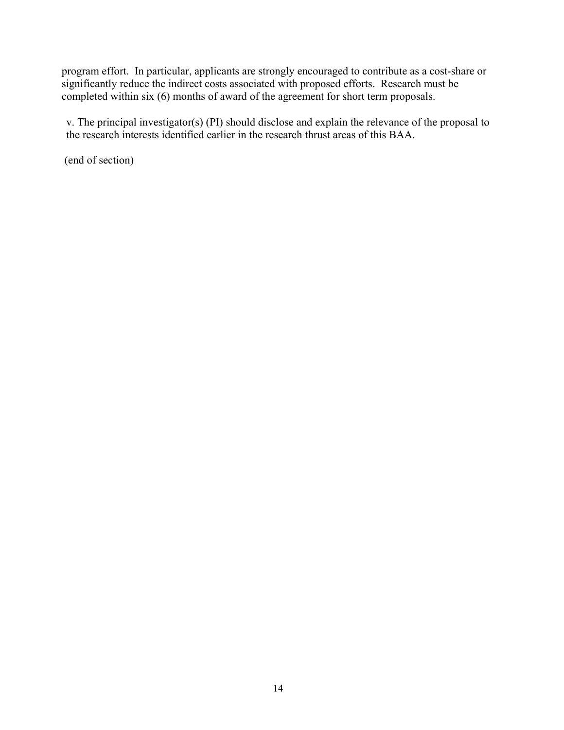program effort. In particular, applicants are strongly encouraged to contribute as a cost-share or significantly reduce the indirect costs associated with proposed efforts. Research must be completed within six (6) months of award of the agreement for short term proposals.

v. The principal investigator(s) (PI) should disclose and explain the relevance of the proposal to the research interests identified earlier in the research thrust areas of this BAA.

(end of section)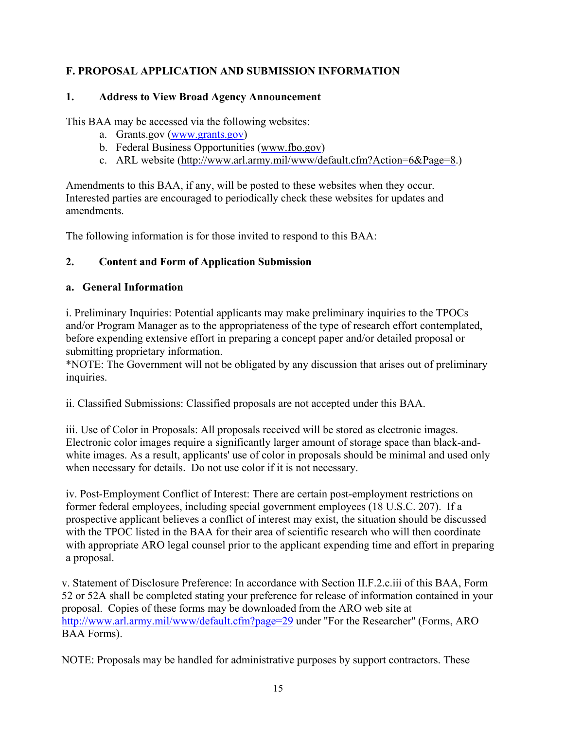## **F. PROPOSAL APPLICATION AND SUBMISSION INFORMATION**

## **1. Address to View Broad Agency Announcement**

This BAA may be accessed via the following websites:

- a. Grants.gov (www.grants.gov)
- b. Federal Business Opportunities (www.fbo.gov)
- c. ARL website (http://www.arl.army.mil/www/default.cfm?Action=6&Page=8.)

Amendments to this BAA, if any, will be posted to these websites when they occur. Interested parties are encouraged to periodically check these websites for updates and amendments.

The following information is for those invited to respond to this BAA:

## **2. Content and Form of Application Submission**

## **a. General Information**

i. Preliminary Inquiries: Potential applicants may make preliminary inquiries to the TPOCs and/or Program Manager as to the appropriateness of the type of research effort contemplated, before expending extensive effort in preparing a concept paper and/or detailed proposal or submitting proprietary information.

\*NOTE: The Government will not be obligated by any discussion that arises out of preliminary inquiries.

ii. Classified Submissions: Classified proposals are not accepted under this BAA.

iii. Use of Color in Proposals: All proposals received will be stored as electronic images. Electronic color images require a significantly larger amount of storage space than black-andwhite images. As a result, applicants' use of color in proposals should be minimal and used only when necessary for details. Do not use color if it is not necessary.

iv. Post-Employment Conflict of Interest: There are certain post-employment restrictions on former federal employees, including special government employees (18 U.S.C. 207). If a prospective applicant believes a conflict of interest may exist, the situation should be discussed with the TPOC listed in the BAA for their area of scientific research who will then coordinate with appropriate ARO legal counsel prior to the applicant expending time and effort in preparing a proposal.

v. Statement of Disclosure Preference: In accordance with Section II.F.2.c.iii of this BAA, Form 52 or 52A shall be completed stating your preference for release of information contained in your proposal. Copies of these forms may be downloaded from the ARO web site at http://www.arl.army.mil/www/default.cfm?page=29 under "For the Researcher" (Forms, ARO BAA Forms).

NOTE: Proposals may be handled for administrative purposes by support contractors. These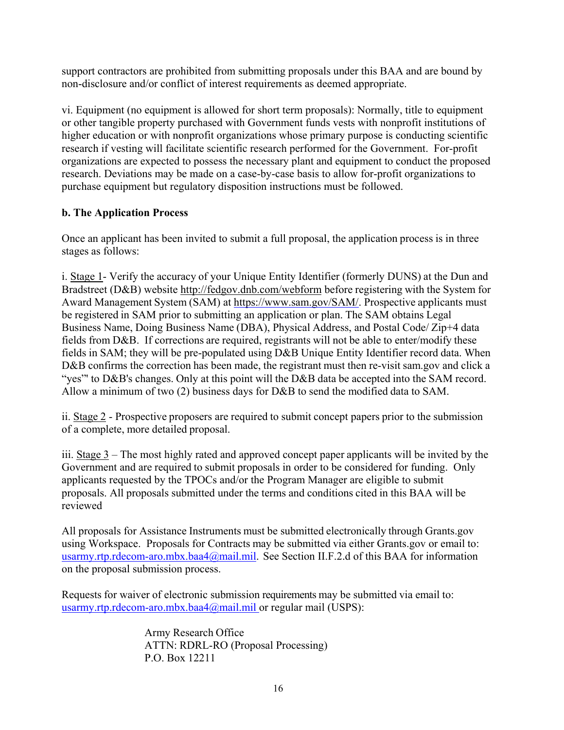support contractors are prohibited from submitting proposals under this BAA and are bound by non-disclosure and/or conflict of interest requirements as deemed appropriate.

vi. Equipment (no equipment is allowed for short term proposals): Normally, title to equipment or other tangible property purchased with Government funds vests with nonprofit institutions of higher education or with nonprofit organizations whose primary purpose is conducting scientific research if vesting will facilitate scientific research performed for the Government. For-profit organizations are expected to possess the necessary plant and equipment to conduct the proposed research. Deviations may be made on a case-by-case basis to allow for-profit organizations to purchase equipment but regulatory disposition instructions must be followed.

## **b. The Application Process**

Once an applicant has been invited to submit a full proposal, the application process is in three stages as follows:

i. Stage 1- Verify the accuracy of your Unique Entity Identifier (formerly DUNS) at the Dun and Bradstreet (D&B) website http://fedgov.dnb.com/webform before registering with the System for Award Management System (SAM) at https://www.sam.gov/SAM/. Prospective applicants must be registered in SAM prior to submitting an application or plan. The SAM obtains Legal Business Name, Doing Business Name (DBA), Physical Address, and Postal Code/ Zip+4 data fields from D&B. If corrections are required, registrants will not be able to enter/modify these fields in SAM; they will be pre-populated using D&B Unique Entity Identifier record data. When D&B confirms the correction has been made, the registrant must then re-visit sam.gov and click a "yes" to D&B's changes. Only at this point will the D&B data be accepted into the SAM record. Allow a minimum of two (2) business days for D&B to send the modified data to SAM.

ii. Stage 2 - Prospective proposers are required to submit concept papers prior to the submission of a complete, more detailed proposal.

iii. Stage  $3$  – The most highly rated and approved concept paper applicants will be invited by the Government and are required to submit proposals in order to be considered for funding. Only applicants requested by the TPOCs and/or the Program Manager are eligible to submit proposals. All proposals submitted under the terms and conditions cited in this BAA will be reviewed

All proposals for Assistance Instruments must be submitted electronically through Grants.gov using Workspace. Proposals for Contracts may be submitted via either Grants.gov or email to: usarmy.rtp.rdecom-aro.mbx.baa4@mail.mil. See Section II.F.2.d of this BAA for information on the proposal submission process.

Requests for waiver of electronic submission requirements may be submitted via email to: usarmy.rtp.rdecom-aro.mbx.baa4@mail.mil or regular mail (USPS):

> Army Research Office ATTN: RDRL-RO (Proposal Processing) P.O. Box 12211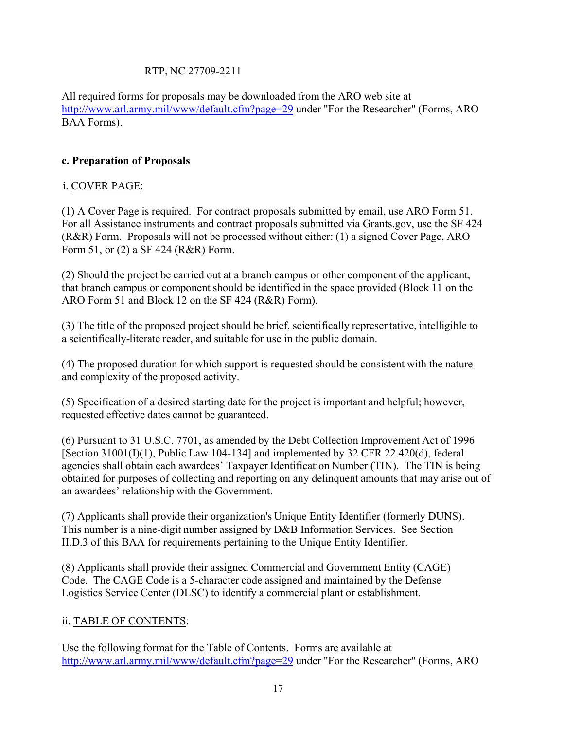## RTP, NC 27709-2211

All required forms for proposals may be downloaded from the ARO web site at http://www.arl.army.mil/www/default.cfm?page=29 under "For the Researcher" (Forms, ARO BAA Forms).

## **c. Preparation of Proposals**

## i. COVER PAGE:

(1) A Cover Page is required. For contract proposals submitted by email, use ARO Form 51. For all Assistance instruments and contract proposals submitted via Grants.gov, use the SF 424 (R&R) Form. Proposals will not be processed without either: (1) a signed Cover Page, ARO Form 51, or (2) a SF 424 (R&R) Form.

(2) Should the project be carried out at a branch campus or other component of the applicant, that branch campus or component should be identified in the space provided (Block 11 on the ARO Form 51 and Block 12 on the SF 424 (R&R) Form).

(3) The title of the proposed project should be brief, scientifically representative, intelligible to a scientifically-literate reader, and suitable for use in the public domain.

(4) The proposed duration for which support is requested should be consistent with the nature and complexity of the proposed activity.

(5) Specification of a desired starting date for the project is important and helpful; however, requested effective dates cannot be guaranteed.

(6) Pursuant to 31 U.S.C. 7701, as amended by the Debt Collection Improvement Act of 1996 [Section 31001(I)(1), Public Law 104-134] and implemented by 32 CFR 22.420(d), federal agencies shall obtain each awardees' Taxpayer Identification Number (TIN). The TIN is being obtained for purposes of collecting and reporting on any delinquent amounts that may arise out of an awardees' relationship with the Government.

(7) Applicants shall provide their organization's Unique Entity Identifier (formerly DUNS). This number is a nine-digit number assigned by D&B Information Services. See Section II.D.3 of this BAA for requirements pertaining to the Unique Entity Identifier.

(8) Applicants shall provide their assigned Commercial and Government Entity (CAGE) Code. The CAGE Code is a 5-character code assigned and maintained by the Defense Logistics Service Center (DLSC) to identify a commercial plant or establishment.

## ii. TABLE OF CONTENTS:

Use the following format for the Table of Contents. Forms are available at http://www.arl.army.mil/www/default.cfm?page=29 under "For the Researcher" (Forms, ARO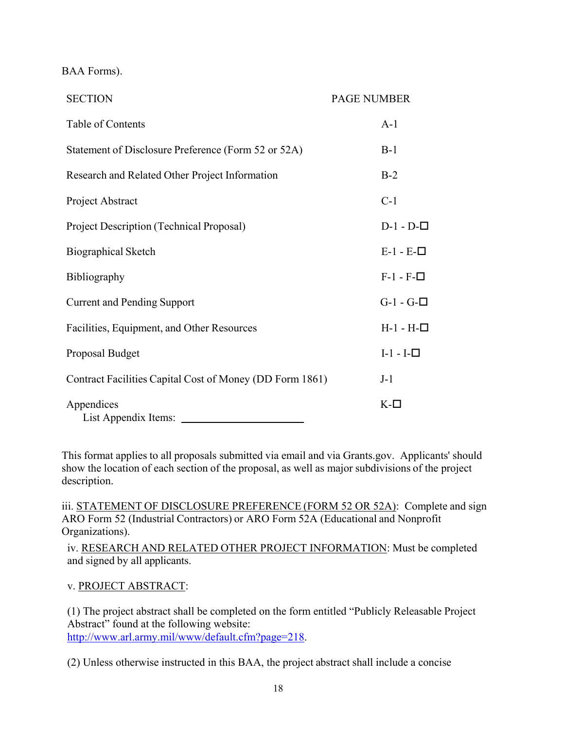BAA Forms).

| <b>SECTION</b>                                           | <b>PAGE NUMBER</b> |
|----------------------------------------------------------|--------------------|
| Table of Contents                                        | $A-1$              |
| Statement of Disclosure Preference (Form 52 or 52A)      | $B-1$              |
| Research and Related Other Project Information           | $B-2$              |
| Project Abstract                                         | $C-1$              |
| Project Description (Technical Proposal)                 | $D-1 - D-$         |
| <b>Biographical Sketch</b>                               | $E-1 - E-$         |
| Bibliography                                             | $F-1 - F-$         |
| <b>Current and Pending Support</b>                       | $G-1 - G-$         |
| Facilities, Equipment, and Other Resources               | $H-1 - H-$         |
| Proposal Budget                                          | $I-1-I-$           |
| Contract Facilities Capital Cost of Money (DD Form 1861) | $J-1$              |
| Appendices<br>List Appendix Items:                       | $K$ - $\square$    |

This format applies to all proposals submitted via email and via Grants.gov. Applicants' should show the location of each section of the proposal, as well as major subdivisions of the project description.

iii. STATEMENT OF DISCLOSURE PREFERENCE (FORM 52 OR 52A): Complete and sign ARO Form 52 (Industrial Contractors) or ARO Form 52A (Educational and Nonprofit Organizations).

iv. RESEARCH AND RELATED OTHER PROJECT INFORMATION: Must be completed and signed by all applicants.

## v. PROJECT ABSTRACT:

(1) The project abstract shall be completed on the form entitled "Publicly Releasable Project Abstract" found at the following website: http://www.arl.army.mil/www/default.cfm?page=218.

(2) Unless otherwise instructed in this BAA, the project abstract shall include a concise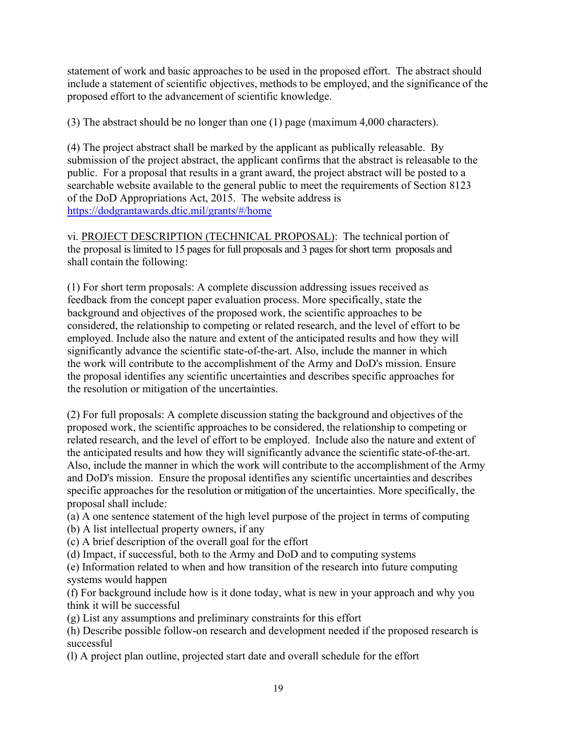statement of work and basic approaches to be used in the proposed effort. The abstract should include a statement of scientific objectives, methods to be employed, and the significance of the proposed effort to the advancement of scientific knowledge.

(3) The abstract should be no longer than one (1) page (maximum 4,000 characters).

(4) The project abstract shall be marked by the applicant as publically releasable. By submission of the project abstract, the applicant confirms that the abstract is releasable to the public. For a proposal that results in a grant award, the project abstract will be posted to a searchable website available to the general public to meet the requirements of Section 8123 of the DoD Appropriations Act, 2015. The website address is https://dodgrantawards.dtic.mil/grants/#/home

vi. PROJECT DESCRIPTION (TECHNICAL PROPOSAL): The technical portion of the proposal is limited to 15 pages for full proposals and 3 pages for short term proposals and shall contain the following:

(1) For short term proposals: A complete discussion addressing issues received as feedback from the concept paper evaluation process. More specifically, state the background and objectives of the proposed work, the scientific approaches to be considered, the relationship to competing or related research, and the level of effort to be employed. Include also the nature and extent of the anticipated results and how they will significantly advance the scientific state-of-the-art. Also, include the manner in which the work will contribute to the accomplishment of the Army and DoD's mission. Ensure the proposal identifies any scientific uncertainties and describes specific approaches for the resolution or mitigation of the uncertainties.

(2) For full proposals: A complete discussion stating the background and objectives of the proposed work, the scientific approaches to be considered, the relationship to competing or related research, and the level of effort to be employed. Include also the nature and extent of the anticipated results and how they will significantly advance the scientific state-of-the-art. Also, include the manner in which the work will contribute to the accomplishment of the Army and DoD's mission. Ensure the proposal identifies any scientific uncertainties and describes specific approaches for the resolution or mitigation of the uncertainties. More specifically, the proposal shall include:

(a) A one sentence statement of the high level purpose of the project in terms of computing

(b) A list intellectual property owners, if any

(c) A brief description of the overall goal for the effort

(d) Impact, if successful, both to the Army and DoD and to computing systems

(e) Information related to when and how transition of the research into future computing systems would happen

(f) For background include how is it done today, what is new in your approach and why you think it will be successful

(g) List any assumptions and preliminary constraints for this effort

(h) Describe possible follow-on research and development needed if the proposed research is successful

(l) A project plan outline, projected start date and overall schedule for the effort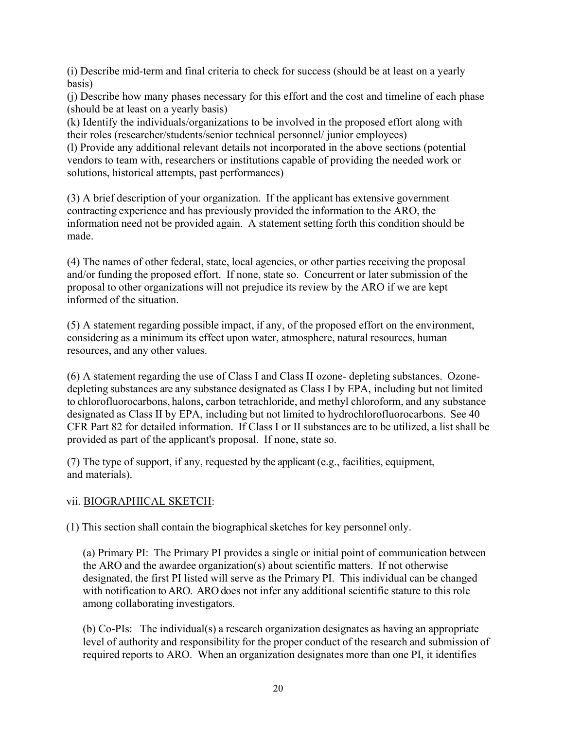(i) Describe mid-term and final criteria to check for success (should be at least on a yearly basis)

(j) Describe how many phases necessary for this effort and the cost and timeline of each phase (should be at least on a yearly basis)

(k) Identify the individuals/organizations to be involved in the proposed effort along with their roles (researcher/students/senior technical personnel/ junior employees)

(l) Provide any additional relevant details not incorporated in the above sections (potential vendors to team with, researchers or institutions capable of providing the needed work or solutions, historical attempts, past performances)

(3) A brief description of your organization. If the applicant has extensive government contracting experience and has previously provided the information to the ARO, the information need not be provided again. A statement setting forth this condition should be made.

(4) The names of other federal, state, local agencies, or other parties receiving the proposal and/or funding the proposed effort. If none, state so. Concurrent or later submission of the proposal to other organizations will not prejudice its review by the ARO if we are kept informed of the situation.

(5) A statement regarding possible impact, if any, of the proposed effort on the environment, considering as a minimum its effect upon water, atmosphere, natural resources, human resources, and any other values.

(6) A statement regarding the use of Class I and Class II ozone- depleting substances. Ozonedepleting substances are any substance designated as Class I by EPA, including but not limited to chlorofluorocarbons, halons, carbon tetrachloride, and methyl chloroform, and any substance designated as Class II by EPA, including but not limited to hydrochlorofluorocarbons. See 40 CFR Part 82 for detailed information. If Class I or II substances are to be utilized, a list shall be provided as part of the applicant's proposal. If none, state so.

(7) The type of support, if any, requested by the applicant (e.g., facilities, equipment, and materials).

## vii. BIOGRAPHICAL SKETCH:

(1) This section shall contain the biographical sketches for key personnel only.

(a) Primary PI: The Primary PI provides a single or initial point of communication between the ARO and the awardee organization(s) about scientific matters. If not otherwise designated, the first PI listed will serve as the Primary PI. This individual can be changed with notification to ARO. ARO does not infer any additional scientific stature to this role among collaborating investigators.

(b) Co-PIs: The individual(s) a research organization designates as having an appropriate level of authority and responsibility for the proper conduct of the research and submission of required reports to ARO. When an organization designates more than one PI, it identifies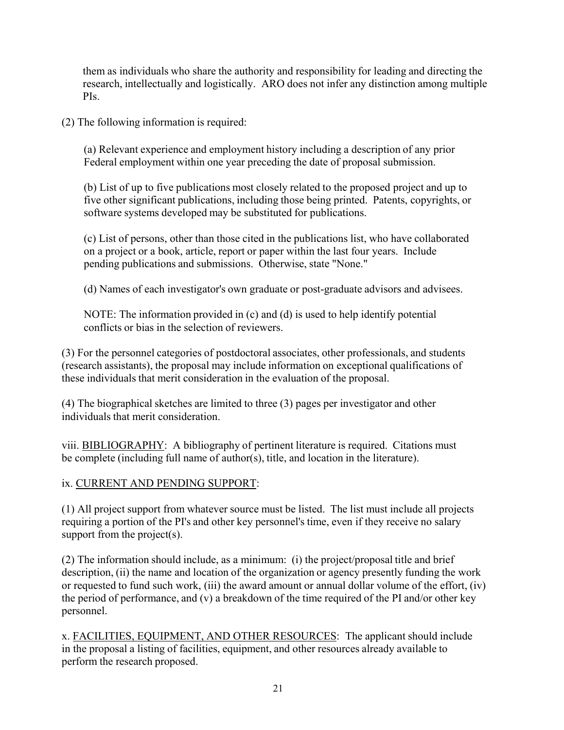them as individuals who share the authority and responsibility for leading and directing the research, intellectually and logistically. ARO does not infer any distinction among multiple PIs.

(2) The following information is required:

(a) Relevant experience and employment history including a description of any prior Federal employment within one year preceding the date of proposal submission.

(b) List of up to five publications most closely related to the proposed project and up to five other significant publications, including those being printed. Patents, copyrights, or software systems developed may be substituted for publications.

(c) List of persons, other than those cited in the publications list, who have collaborated on a project or a book, article, report or paper within the last four years. Include pending publications and submissions. Otherwise, state "None."

(d) Names of each investigator's own graduate or post-graduate advisors and advisees.

NOTE: The information provided in (c) and (d) is used to help identify potential conflicts or bias in the selection of reviewers.

(3) For the personnel categories of postdoctoral associates, other professionals, and students (research assistants), the proposal may include information on exceptional qualifications of these individuals that merit consideration in the evaluation of the proposal.

(4) The biographical sketches are limited to three (3) pages per investigator and other individuals that merit consideration.

viii. **BIBLIOGRAPHY**: A bibliography of pertinent literature is required. Citations must be complete (including full name of author(s), title, and location in the literature).

## ix. CURRENT AND PENDING SUPPORT:

(1) All project support from whatever source must be listed. The list must include all projects requiring a portion of the PI's and other key personnel's time, even if they receive no salary support from the project(s).

(2) The information should include, as a minimum: (i) the project/proposal title and brief description, (ii) the name and location of the organization or agency presently funding the work or requested to fund such work, (iii) the award amount or annual dollar volume of the effort, (iv) the period of performance, and (v) a breakdown of the time required of the PI and/or other key personnel.

x. FACILITIES, EQUIPMENT, AND OTHER RESOURCES: The applicant should include in the proposal a listing of facilities, equipment, and other resources already available to perform the research proposed.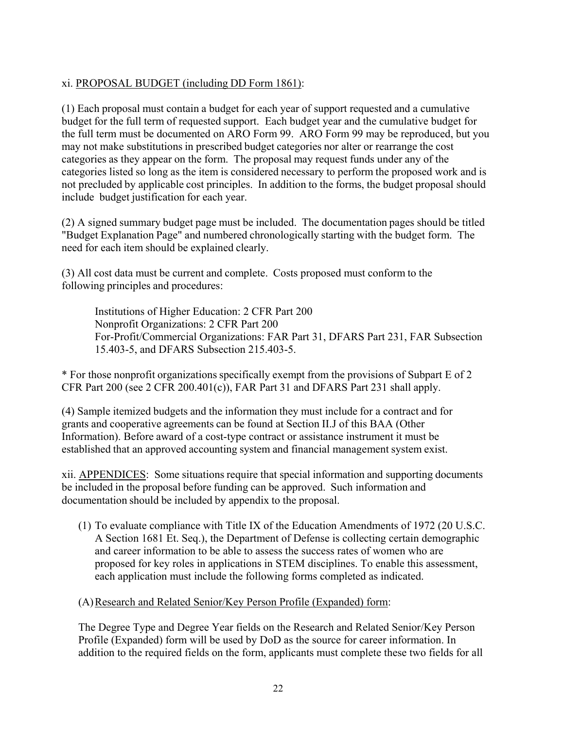## xi. PROPOSAL BUDGET (including DD Form 1861):

(1) Each proposal must contain a budget for each year of support requested and a cumulative budget for the full term of requested support. Each budget year and the cumulative budget for the full term must be documented on ARO Form 99. ARO Form 99 may be reproduced, but you may not make substitutions in prescribed budget categories nor alter or rearrange the cost categories as they appear on the form. The proposal may request funds under any of the categories listed so long as the item is considered necessary to perform the proposed work and is not precluded by applicable cost principles. In addition to the forms, the budget proposal should include budget justification for each year.

(2) A signed summary budget page must be included. The documentation pages should be titled "Budget Explanation Page" and numbered chronologically starting with the budget form. The need for each item should be explained clearly.

(3) All cost data must be current and complete. Costs proposed must conform to the following principles and procedures:

Institutions of Higher Education: 2 CFR Part 200 Nonprofit Organizations: 2 CFR Part 200 For-Profit/Commercial Organizations: FAR Part 31, DFARS Part 231, FAR Subsection 15.403-5, and DFARS Subsection 215.403-5.

\* For those nonprofit organizations specifically exempt from the provisions of Subpart E of 2 CFR Part 200 (see 2 CFR 200.401(c)), FAR Part 31 and DFARS Part 231 shall apply.

(4) Sample itemized budgets and the information they must include for a contract and for grants and cooperative agreements can be found at Section II.J of this BAA (Other Information). Before award of a cost-type contract or assistance instrument it must be established that an approved accounting system and financial management system exist.

xii. APPENDICES: Some situations require that special information and supporting documents be included in the proposal before funding can be approved. Such information and documentation should be included by appendix to the proposal.

(1) To evaluate compliance with Title IX of the Education Amendments of 1972 (20 U.S.C. A Section 1681 Et. Seq.), the Department of Defense is collecting certain demographic and career information to be able to assess the success rates of women who are proposed for key roles in applications in STEM disciplines. To enable this assessment, each application must include the following forms completed as indicated.

(A)Research and Related Senior/Key Person Profile (Expanded) form:

The Degree Type and Degree Year fields on the Research and Related Senior/Key Person Profile (Expanded) form will be used by DoD as the source for career information. In addition to the required fields on the form, applicants must complete these two fields for all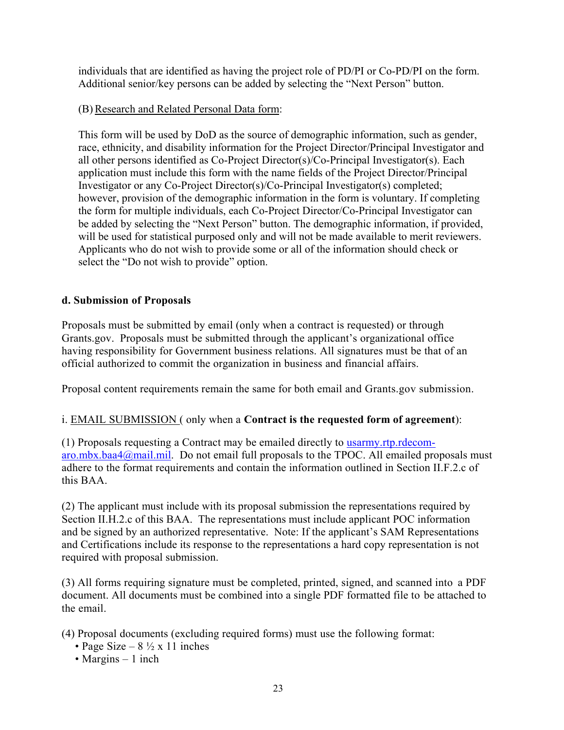individuals that are identified as having the project role of PD/PI or Co-PD/PI on the form. Additional senior/key persons can be added by selecting the "Next Person" button.

#### (B) Research and Related Personal Data form:

This form will be used by DoD as the source of demographic information, such as gender, race, ethnicity, and disability information for the Project Director/Principal Investigator and all other persons identified as Co-Project Director(s)/Co-Principal Investigator(s). Each application must include this form with the name fields of the Project Director/Principal Investigator or any Co-Project Director(s)/Co-Principal Investigator(s) completed; however, provision of the demographic information in the form is voluntary. If completing the form for multiple individuals, each Co-Project Director/Co-Principal Investigator can be added by selecting the "Next Person" button. The demographic information, if provided, will be used for statistical purposed only and will not be made available to merit reviewers. Applicants who do not wish to provide some or all of the information should check or select the "Do not wish to provide" option.

#### **d. Submission of Proposals**

Proposals must be submitted by email (only when a contract is requested) or through Grants.gov. Proposals must be submitted through the applicant's organizational office having responsibility for Government business relations. All signatures must be that of an official authorized to commit the organization in business and financial affairs.

Proposal content requirements remain the same for both email and Grants.gov submission.

## i. EMAIL SUBMISSION ( only when a **Contract is the requested form of agreement**):

(1) Proposals requesting a Contract may be emailed directly to usarmy.rtp.rdecomaro.mbx.baa4@mail.mil. Do not email full proposals to the TPOC. All emailed proposals must adhere to the format requirements and contain the information outlined in Section II.F.2.c of this BAA.

(2) The applicant must include with its proposal submission the representations required by Section II.H.2.c of this BAA. The representations must include applicant POC information and be signed by an authorized representative. Note: If the applicant's SAM Representations and Certifications include its response to the representations a hard copy representation is not required with proposal submission.

(3) All forms requiring signature must be completed, printed, signed, and scanned into a PDF document. All documents must be combined into a single PDF formatted file to be attached to the email.

(4) Proposal documents (excluding required forms) must use the following format:

- Page Size  $8\frac{1}{2} \times 11$  inches
- Margins 1 inch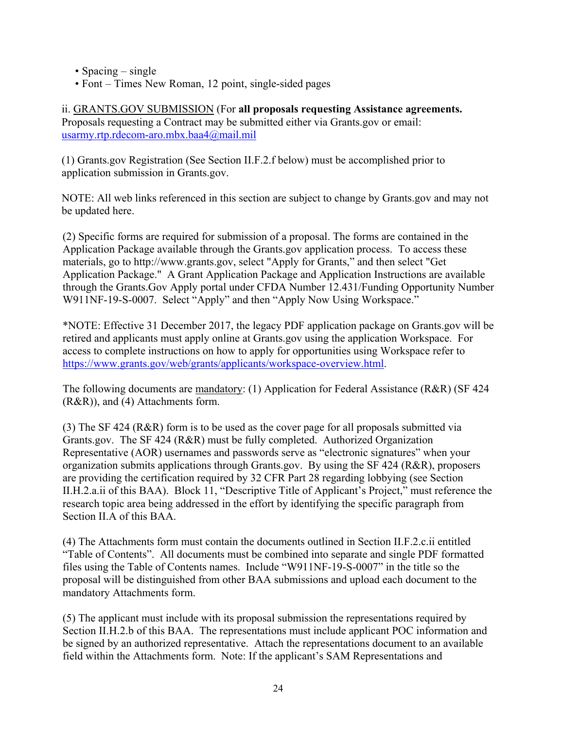- Spacing single
- Font Times New Roman, 12 point, single-sided pages

ii. GRANTS.GOV SUBMISSION (For **all proposals requesting Assistance agreements.** Proposals requesting a Contract may be submitted either via Grants.gov or email: usarmy.rtp.rdecom-aro.mbx.baa4@mail.mil

(1) Grants.gov Registration (See Section II.F.2.f below) must be accomplished prior to application submission in Grants.gov.

NOTE: All web links referenced in this section are subject to change by Grants.gov and may not be updated here.

(2) Specific forms are required for submission of a proposal. The forms are contained in the Application Package available through the Grants.gov application process. To access these materials, go to http://www.grants.gov, select "Apply for Grants," and then select "Get Application Package." A Grant Application Package and Application Instructions are available through the Grants.Gov Apply portal under CFDA Number 12.431/Funding Opportunity Number W911NF-19-S-0007. Select "Apply" and then "Apply Now Using Workspace."

\*NOTE: Effective 31 December 2017, the legacy PDF application package on Grants.gov will be retired and applicants must apply online at Grants.gov using the application Workspace. For access to complete instructions on how to apply for opportunities using Workspace refer to https://www.grants.gov/web/grants/applicants/workspace-overview.html.

The following documents are mandatory: (1) Application for Federal Assistance (R&R) (SF 424 (R&R)), and (4) Attachments form.

(3) The SF 424 (R&R) form is to be used as the cover page for all proposals submitted via Grants.gov. The SF 424 (R&R) must be fully completed. Authorized Organization Representative (AOR) usernames and passwords serve as "electronic signatures" when your organization submits applications through Grants.gov. By using the SF 424 (R&R), proposers are providing the certification required by 32 CFR Part 28 regarding lobbying (see Section II.H.2.a.ii of this BAA). Block 11, "Descriptive Title of Applicant's Project," must reference the research topic area being addressed in the effort by identifying the specific paragraph from Section II.A of this BAA.

(4) The Attachments form must contain the documents outlined in Section II.F.2.c.ii entitled "Table of Contents". All documents must be combined into separate and single PDF formatted files using the Table of Contents names. Include "W911NF-19-S-0007" in the title so the proposal will be distinguished from other BAA submissions and upload each document to the mandatory Attachments form.

(5) The applicant must include with its proposal submission the representations required by Section II.H.2.b of this BAA. The representations must include applicant POC information and be signed by an authorized representative. Attach the representations document to an available field within the Attachments form. Note: If the applicant's SAM Representations and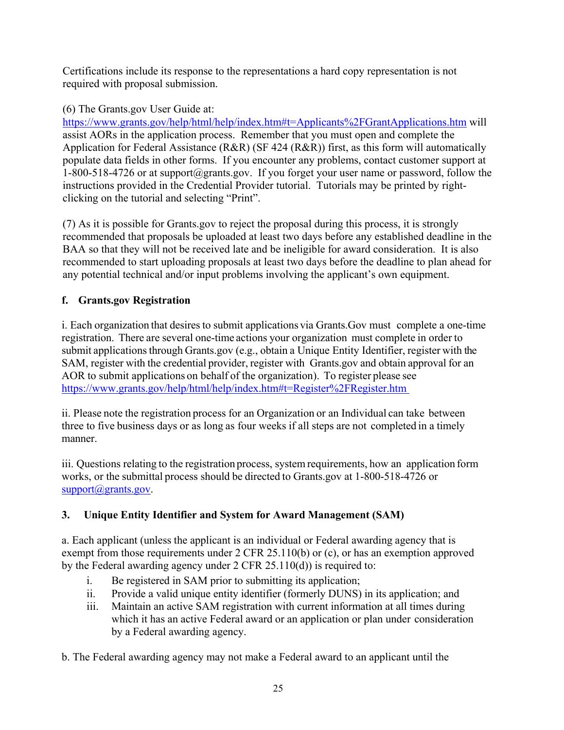Certifications include its response to the representations a hard copy representation is not required with proposal submission.

## (6) The Grants.gov User Guide at:

https://www.grants.gov/help/html/help/index.htm#t=Applicants%2FGrantApplications.htm will assist AORs in the application process. Remember that you must open and complete the Application for Federal Assistance (R&R) (SF 424 (R&R)) first, as this form will automatically populate data fields in other forms. If you encounter any problems, contact customer support at 1-800-518-4726 or at support@grants.gov. If you forget your user name or password, follow the instructions provided in the Credential Provider tutorial. Tutorials may be printed by rightclicking on the tutorial and selecting "Print".

(7) As it is possible for Grants.gov to reject the proposal during this process, it is strongly recommended that proposals be uploaded at least two days before any established deadline in the BAA so that they will not be received late and be ineligible for award consideration. It is also recommended to start uploading proposals at least two days before the deadline to plan ahead for any potential technical and/or input problems involving the applicant's own equipment.

## **f. Grants.gov Registration**

i. Each organization that desires to submit applications via Grants.Gov must complete a one-time registration. There are several one-time actions your organization must complete in order to submit applications through Grants.gov (e.g., obtain a Unique Entity Identifier, register with the SAM, register with the credential provider, register with Grants.gov and obtain approval for an AOR to submit applications on behalf of the organization). To register please see https://www.grants.gov/help/html/help/index.htm#t=Register%2FRegister.htm

ii. Please note the registration process for an Organization or an Individual can take between three to five business days or as long as four weeks if all steps are not completed in a timely manner.

iii. Questions relating to the registration process, system requirements, how an application form works, or the submittal process should be directed to Grants.gov at 1-800-518-4726 or support@grants.gov.

## **3. Unique Entity Identifier and System for Award Management (SAM)**

a. Each applicant (unless the applicant is an individual or Federal awarding agency that is exempt from those requirements under 2 CFR 25.110(b) or (c), or has an exemption approved by the Federal awarding agency under 2 CFR 25.110(d)) is required to:

- i. Be registered in SAM prior to submitting its application;
- ii. Provide a valid unique entity identifier (formerly DUNS) in its application; and
- iii. Maintain an active SAM registration with current information at all times during which it has an active Federal award or an application or plan under consideration by a Federal awarding agency.

b. The Federal awarding agency may not make a Federal award to an applicant until the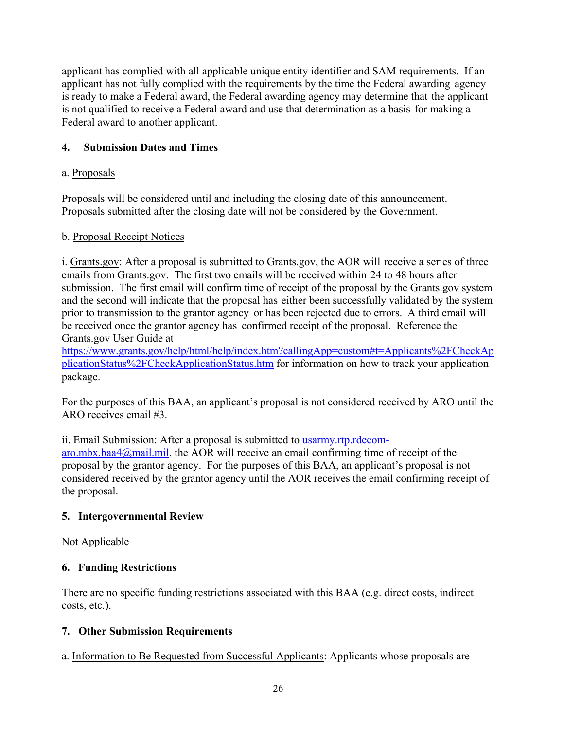applicant has complied with all applicable unique entity identifier and SAM requirements. If an applicant has not fully complied with the requirements by the time the Federal awarding agency is ready to make a Federal award, the Federal awarding agency may determine that the applicant is not qualified to receive a Federal award and use that determination as a basis for making a Federal award to another applicant.

## **4. Submission Dates and Times**

## a. Proposals

Proposals will be considered until and including the closing date of this announcement. Proposals submitted after the closing date will not be considered by the Government.

## b. Proposal Receipt Notices

i. Grants.gov: After a proposal is submitted to Grants.gov, the AOR will receive a series of three emails from Grants.gov. The first two emails will be received within 24 to 48 hours after submission. The first email will confirm time of receipt of the proposal by the Grants.gov system and the second will indicate that the proposal has either been successfully validated by the system prior to transmission to the grantor agency or has been rejected due to errors. A third email will be received once the grantor agency has confirmed receipt of the proposal. Reference the Grants.gov User Guide at

https://www.grants.gov/help/html/help/index.htm?callingApp=custom#t=Applicants%2FCheckAp plicationStatus%2FCheckApplicationStatus.htm for information on how to track your application package.

For the purposes of this BAA, an applicant's proposal is not considered received by ARO until the ARO receives email #3.

ii. Email Submission: After a proposal is submitted to usarmy.rtp.rdecom-

aro.mbx.baa4@mail.mil, the AOR will receive an email confirming time of receipt of the proposal by the grantor agency. For the purposes of this BAA, an applicant's proposal is not considered received by the grantor agency until the AOR receives the email confirming receipt of the proposal.

## **5. Intergovernmental Review**

Not Applicable

## **6. Funding Restrictions**

There are no specific funding restrictions associated with this BAA (e.g. direct costs, indirect costs, etc.).

## **7. Other Submission Requirements**

a. Information to Be Requested from Successful Applicants: Applicants whose proposals are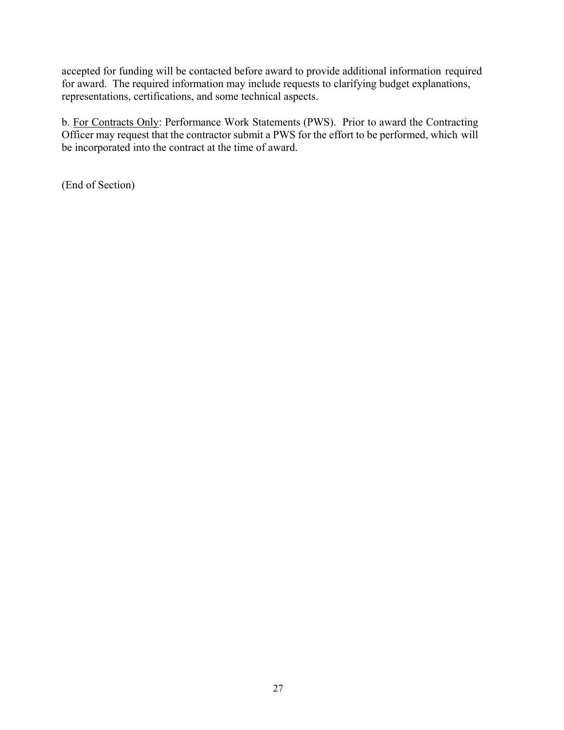accepted for funding will be contacted before award to provide additional information required for award. The required information may include requests to clarifying budget explanations, representations, certifications, and some technical aspects.

b. For Contracts Only: Performance Work Statements (PWS). Prior to award the Contracting Officer may request that the contractor submit a PWS for the effort to be performed, which will be incorporated into the contract at the time of award.

(End of Section)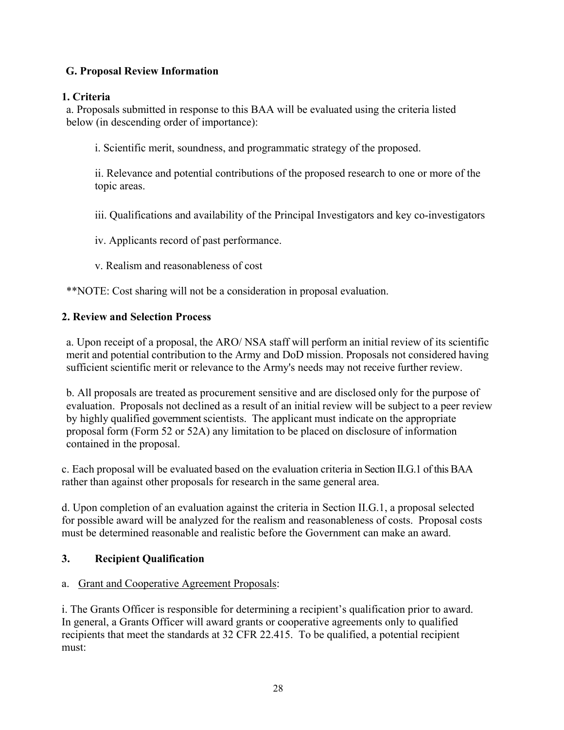## **G. Proposal Review Information**

#### **1. Criteria**

a. Proposals submitted in response to this BAA will be evaluated using the criteria listed below (in descending order of importance):

i. Scientific merit, soundness, and programmatic strategy of the proposed.

ii. Relevance and potential contributions of the proposed research to one or more of the topic areas.

iii. Qualifications and availability of the Principal Investigators and key co-investigators

iv. Applicants record of past performance.

v. Realism and reasonableness of cost

\*\*NOTE: Cost sharing will not be a consideration in proposal evaluation.

#### **2. Review and Selection Process**

a. Upon receipt of a proposal, the ARO/ NSA staff will perform an initial review of its scientific merit and potential contribution to the Army and DoD mission. Proposals not considered having sufficient scientific merit or relevance to the Army's needs may not receive further review.

b. All proposals are treated as procurement sensitive and are disclosed only for the purpose of evaluation. Proposals not declined as a result of an initial review will be subject to a peer review by highly qualified government scientists. The applicant must indicate on the appropriate proposal form (Form 52 or 52A) any limitation to be placed on disclosure of information contained in the proposal.

c. Each proposal will be evaluated based on the evaluation criteria in Section II.G.1 of this BAA rather than against other proposals for research in the same general area.

d. Upon completion of an evaluation against the criteria in Section II.G.1, a proposal selected for possible award will be analyzed for the realism and reasonableness of costs. Proposal costs must be determined reasonable and realistic before the Government can make an award.

## **3. Recipient Qualification**

#### a. Grant and Cooperative Agreement Proposals:

i. The Grants Officer is responsible for determining a recipient's qualification prior to award. In general, a Grants Officer will award grants or cooperative agreements only to qualified recipients that meet the standards at 32 CFR 22.415. To be qualified, a potential recipient must: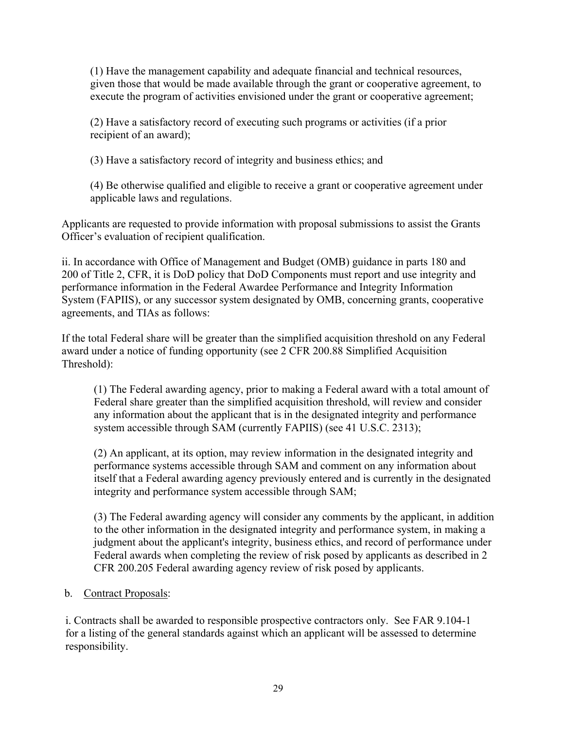(1) Have the management capability and adequate financial and technical resources, given those that would be made available through the grant or cooperative agreement, to execute the program of activities envisioned under the grant or cooperative agreement;

(2) Have a satisfactory record of executing such programs or activities (if a prior recipient of an award);

(3) Have a satisfactory record of integrity and business ethics; and

(4) Be otherwise qualified and eligible to receive a grant or cooperative agreement under applicable laws and regulations.

Applicants are requested to provide information with proposal submissions to assist the Grants Officer's evaluation of recipient qualification.

ii. In accordance with Office of Management and Budget (OMB) guidance in parts 180 and 200 of Title 2, CFR, it is DoD policy that DoD Components must report and use integrity and performance information in the Federal Awardee Performance and Integrity Information System (FAPIIS), or any successor system designated by OMB, concerning grants, cooperative agreements, and TIAs as follows:

If the total Federal share will be greater than the simplified acquisition threshold on any Federal award under a notice of funding opportunity (see 2 CFR 200.88 Simplified Acquisition Threshold):

(1) The Federal awarding agency, prior to making a Federal award with a total amount of Federal share greater than the simplified acquisition threshold, will review and consider any information about the applicant that is in the designated integrity and performance system accessible through SAM (currently FAPIIS) (see 41 U.S.C. 2313);

(2) An applicant, at its option, may review information in the designated integrity and performance systems accessible through SAM and comment on any information about itself that a Federal awarding agency previously entered and is currently in the designated integrity and performance system accessible through SAM;

(3) The Federal awarding agency will consider any comments by the applicant, in addition to the other information in the designated integrity and performance system, in making a judgment about the applicant's integrity, business ethics, and record of performance under Federal awards when completing the review of risk posed by applicants as described in 2 CFR 200.205 Federal awarding agency review of risk posed by applicants.

## b. Contract Proposals:

i. Contracts shall be awarded to responsible prospective contractors only. See FAR 9.104-1 for a listing of the general standards against which an applicant will be assessed to determine responsibility.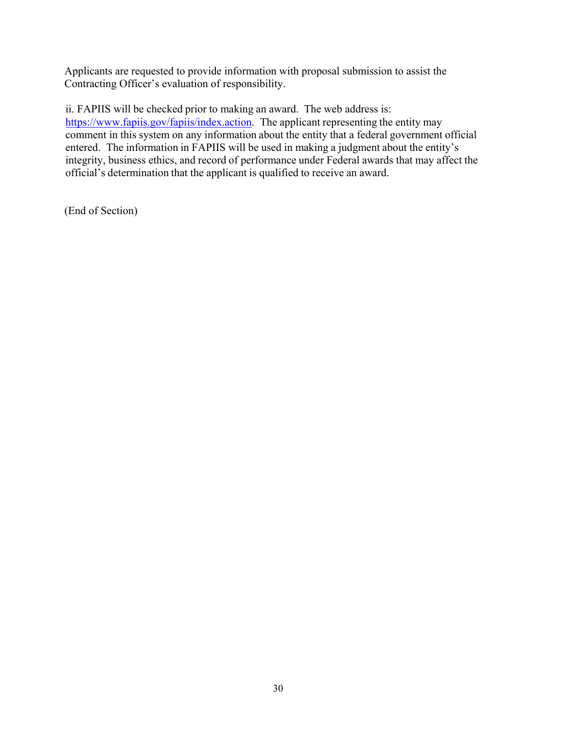Applicants are requested to provide information with proposal submission to assist the Contracting Officer's evaluation of responsibility.

ii. FAPIIS will be checked prior to making an award. The web address is: https://www.fapiis.gov/fapiis/index.action. The applicant representing the entity may comment in this system on any information about the entity that a federal government official entered. The information in FAPIIS will be used in making a judgment about the entity's integrity, business ethics, and record of performance under Federal awards that may affect the official's determination that the applicant is qualified to receive an award.

(End of Section)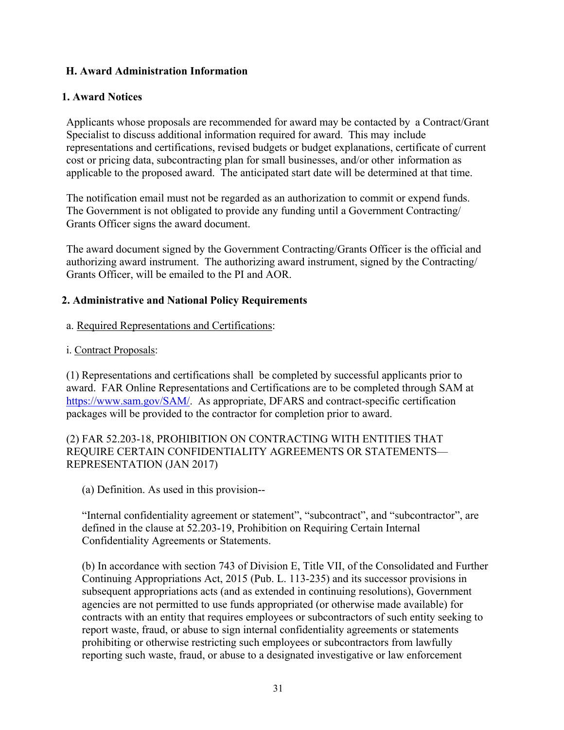## **H. Award Administration Information**

#### **1. Award Notices**

Applicants whose proposals are recommended for award may be contacted by a Contract/Grant Specialist to discuss additional information required for award. This may include representations and certifications, revised budgets or budget explanations, certificate of current cost or pricing data, subcontracting plan for small businesses, and/or other information as applicable to the proposed award. The anticipated start date will be determined at that time.

The notification email must not be regarded as an authorization to commit or expend funds. The Government is not obligated to provide any funding until a Government Contracting/ Grants Officer signs the award document.

The award document signed by the Government Contracting/Grants Officer is the official and authorizing award instrument. The authorizing award instrument, signed by the Contracting/ Grants Officer, will be emailed to the PI and AOR.

#### **2. Administrative and National Policy Requirements**

- a. Required Representations and Certifications:
- i. Contract Proposals:

(1) Representations and certifications shall be completed by successful applicants prior to award. FAR Online Representations and Certifications are to be completed through SAM at https://www.sam.gov/SAM/. As appropriate, DFARS and contract-specific certification packages will be provided to the contractor for completion prior to award.

## (2) FAR 52.203-18, PROHIBITION ON CONTRACTING WITH ENTITIES THAT REQUIRE CERTAIN CONFIDENTIALITY AGREEMENTS OR STATEMENTS— REPRESENTATION (JAN 2017)

(a) Definition. As used in this provision--

"Internal confidentiality agreement or statement", "subcontract", and "subcontractor", are defined in the clause at 52.203-19, Prohibition on Requiring Certain Internal Confidentiality Agreements or Statements.

(b) In accordance with section 743 of Division E, Title VII, of the Consolidated and Further Continuing Appropriations Act, 2015 (Pub. L. 113-235) and its successor provisions in subsequent appropriations acts (and as extended in continuing resolutions), Government agencies are not permitted to use funds appropriated (or otherwise made available) for contracts with an entity that requires employees or subcontractors of such entity seeking to report waste, fraud, or abuse to sign internal confidentiality agreements or statements prohibiting or otherwise restricting such employees or subcontractors from lawfully reporting such waste, fraud, or abuse to a designated investigative or law enforcement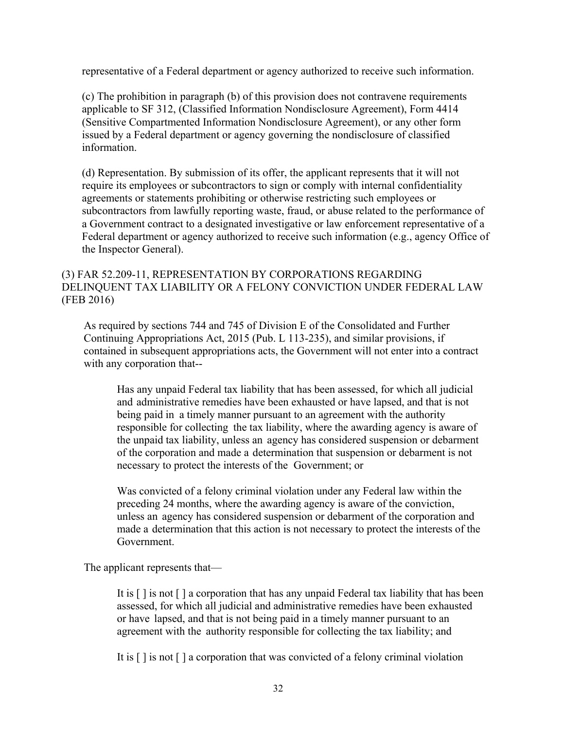representative of a Federal department or agency authorized to receive such information.

(c) The prohibition in paragraph (b) of this provision does not contravene requirements applicable to SF 312, (Classified Information Nondisclosure Agreement), Form 4414 (Sensitive Compartmented Information Nondisclosure Agreement), or any other form issued by a Federal department or agency governing the nondisclosure of classified information.

(d) Representation. By submission of its offer, the applicant represents that it will not require its employees or subcontractors to sign or comply with internal confidentiality agreements or statements prohibiting or otherwise restricting such employees or subcontractors from lawfully reporting waste, fraud, or abuse related to the performance of a Government contract to a designated investigative or law enforcement representative of a Federal department or agency authorized to receive such information (e.g., agency Office of the Inspector General).

## (3) FAR 52.209-11, REPRESENTATION BY CORPORATIONS REGARDING DELINQUENT TAX LIABILITY OR A FELONY CONVICTION UNDER FEDERAL LAW (FEB 2016)

As required by sections 744 and 745 of Division E of the Consolidated and Further Continuing Appropriations Act, 2015 (Pub. L 113-235), and similar provisions, if contained in subsequent appropriations acts, the Government will not enter into a contract with any corporation that--

Has any unpaid Federal tax liability that has been assessed, for which all judicial and administrative remedies have been exhausted or have lapsed, and that is not being paid in a timely manner pursuant to an agreement with the authority responsible for collecting the tax liability, where the awarding agency is aware of the unpaid tax liability, unless an agency has considered suspension or debarment of the corporation and made a determination that suspension or debarment is not necessary to protect the interests of the Government; or

Was convicted of a felony criminal violation under any Federal law within the preceding 24 months, where the awarding agency is aware of the conviction, unless an agency has considered suspension or debarment of the corporation and made a determination that this action is not necessary to protect the interests of the Government.

The applicant represents that—

It is [ ] is not [ ] a corporation that has any unpaid Federal tax liability that has been assessed, for which all judicial and administrative remedies have been exhausted or have lapsed, and that is not being paid in a timely manner pursuant to an agreement with the authority responsible for collecting the tax liability; and

It is [ ] is not [ ] a corporation that was convicted of a felony criminal violation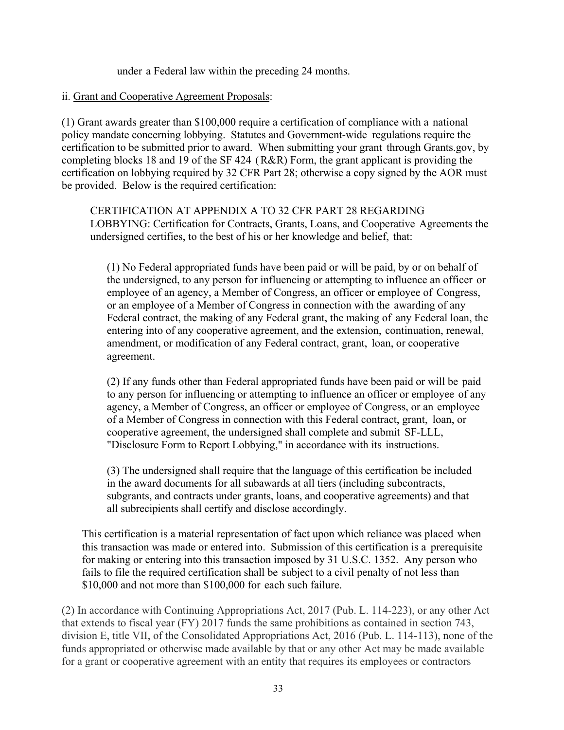under a Federal law within the preceding 24 months.

#### ii. Grant and Cooperative Agreement Proposals:

(1) Grant awards greater than \$100,000 require a certification of compliance with a national policy mandate concerning lobbying. Statutes and Government-wide regulations require the certification to be submitted prior to award. When submitting your grant through Grants.gov, by completing blocks 18 and 19 of the SF 424 (R&R) Form, the grant applicant is providing the certification on lobbying required by 32 CFR Part 28; otherwise a copy signed by the AOR must be provided. Below is the required certification:

CERTIFICATION AT APPENDIX A TO 32 CFR PART 28 REGARDING LOBBYING: Certification for Contracts, Grants, Loans, and Cooperative Agreements the undersigned certifies, to the best of his or her knowledge and belief, that:

(1) No Federal appropriated funds have been paid or will be paid, by or on behalf of the undersigned, to any person for influencing or attempting to influence an officer or employee of an agency, a Member of Congress, an officer or employee of Congress, or an employee of a Member of Congress in connection with the awarding of any Federal contract, the making of any Federal grant, the making of any Federal loan, the entering into of any cooperative agreement, and the extension, continuation, renewal, amendment, or modification of any Federal contract, grant, loan, or cooperative agreement.

(2) If any funds other than Federal appropriated funds have been paid or will be paid to any person for influencing or attempting to influence an officer or employee of any agency, a Member of Congress, an officer or employee of Congress, or an employee of a Member of Congress in connection with this Federal contract, grant, loan, or cooperative agreement, the undersigned shall complete and submit SF-LLL, "Disclosure Form to Report Lobbying," in accordance with its instructions.

(3) The undersigned shall require that the language of this certification be included in the award documents for all subawards at all tiers (including subcontracts, subgrants, and contracts under grants, loans, and cooperative agreements) and that all subrecipients shall certify and disclose accordingly.

This certification is a material representation of fact upon which reliance was placed when this transaction was made or entered into. Submission of this certification is a prerequisite for making or entering into this transaction imposed by 31 U.S.C. 1352. Any person who fails to file the required certification shall be subject to a civil penalty of not less than \$10,000 and not more than \$100,000 for each such failure.

(2) In accordance with Continuing Appropriations Act, 2017 (Pub. L. 114-223), or any other Act that extends to fiscal year (FY) 2017 funds the same prohibitions as contained in section 743, division E, title VII, of the Consolidated Appropriations Act, 2016 (Pub. L. 114-113), none of the funds appropriated or otherwise made available by that or any other Act may be made available for a grant or cooperative agreement with an entity that requires its employees or contractors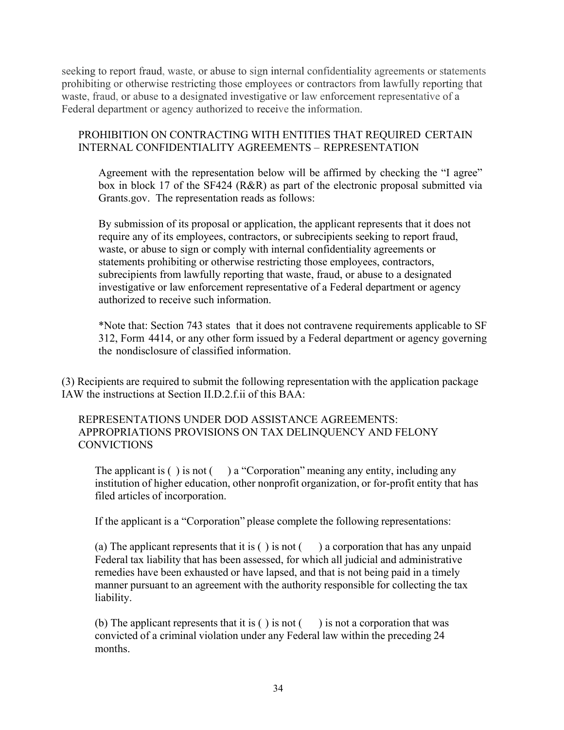seeking to report fraud, waste, or abuse to sign internal confidentiality agreements or statements prohibiting or otherwise restricting those employees or contractors from lawfully reporting that waste, fraud, or abuse to a designated investigative or law enforcement representative of a Federal department or agency authorized to receive the information.

## PROHIBITION ON CONTRACTING WITH ENTITIES THAT REQUIRED CERTAIN INTERNAL CONFIDENTIALITY AGREEMENTS – REPRESENTATION

Agreement with the representation below will be affirmed by checking the "I agree" box in block 17 of the SF424 (R&R) as part of the electronic proposal submitted via Grants.gov. The representation reads as follows:

By submission of its proposal or application, the applicant represents that it does not require any of its employees, contractors, or subrecipients seeking to report fraud, waste, or abuse to sign or comply with internal confidentiality agreements or statements prohibiting or otherwise restricting those employees, contractors, subrecipients from lawfully reporting that waste, fraud, or abuse to a designated investigative or law enforcement representative of a Federal department or agency authorized to receive such information.

\*Note that: Section 743 states that it does not contravene requirements applicable to SF 312, Form 4414, or any other form issued by a Federal department or agency governing the nondisclosure of classified information.

(3) Recipients are required to submit the following representation with the application package IAW the instructions at Section II.D.2.f.ii of this BAA:

REPRESENTATIONS UNDER DOD ASSISTANCE AGREEMENTS: APPROPRIATIONS PROVISIONS ON TAX DELINQUENCY AND FELONY **CONVICTIONS** 

The applicant is  $( )$  is not  $( )$  a "Corporation" meaning any entity, including any institution of higher education, other nonprofit organization, or for-profit entity that has filed articles of incorporation.

If the applicant is a "Corporation" please complete the following representations:

(a) The applicant represents that it is  $( )$  is not  $( )$  a corporation that has any unpaid Federal tax liability that has been assessed, for which all judicial and administrative remedies have been exhausted or have lapsed, and that is not being paid in a timely manner pursuant to an agreement with the authority responsible for collecting the tax liability.

(b) The applicant represents that it is  $( )$  is not  $( )$  is not a corporation that was convicted of a criminal violation under any Federal law within the preceding 24 months.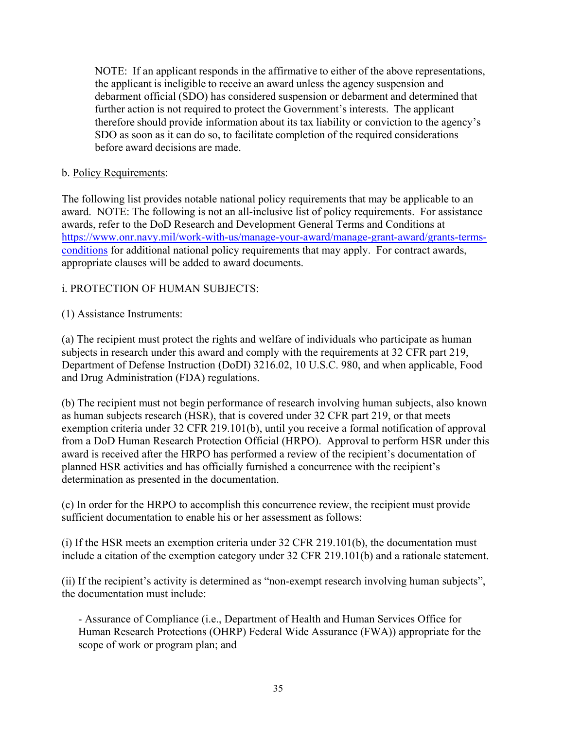NOTE: If an applicant responds in the affirmative to either of the above representations, the applicant is ineligible to receive an award unless the agency suspension and debarment official (SDO) has considered suspension or debarment and determined that further action is not required to protect the Government's interests. The applicant therefore should provide information about its tax liability or conviction to the agency's SDO as soon as it can do so, to facilitate completion of the required considerations before award decisions are made.

#### b. Policy Requirements:

The following list provides notable national policy requirements that may be applicable to an award. NOTE: The following is not an all-inclusive list of policy requirements. For assistance awards, refer to the DoD Research and Development General Terms and Conditions at https://www.onr.navy.mil/work-with-us/manage-your-award/manage-grant-award/grants-termsconditions for additional national policy requirements that may apply. For contract awards, appropriate clauses will be added to award documents.

## i. PROTECTION OF HUMAN SUBJECTS:

## (1) Assistance Instruments:

(a) The recipient must protect the rights and welfare of individuals who participate as human subjects in research under this award and comply with the requirements at 32 CFR part 219, Department of Defense Instruction (DoDI) 3216.02, 10 U.S.C. 980, and when applicable, Food and Drug Administration (FDA) regulations.

(b) The recipient must not begin performance of research involving human subjects, also known as human subjects research (HSR), that is covered under 32 CFR part 219, or that meets exemption criteria under 32 CFR 219.101(b), until you receive a formal notification of approval from a DoD Human Research Protection Official (HRPO). Approval to perform HSR under this award is received after the HRPO has performed a review of the recipient's documentation of planned HSR activities and has officially furnished a concurrence with the recipient's determination as presented in the documentation.

(c) In order for the HRPO to accomplish this concurrence review, the recipient must provide sufficient documentation to enable his or her assessment as follows:

(i) If the HSR meets an exemption criteria under 32 CFR 219.101(b), the documentation must include a citation of the exemption category under 32 CFR 219.101(b) and a rationale statement.

(ii) If the recipient's activity is determined as "non-exempt research involving human subjects", the documentation must include:

- Assurance of Compliance (i.e., Department of Health and Human Services Office for Human Research Protections (OHRP) Federal Wide Assurance (FWA)) appropriate for the scope of work or program plan; and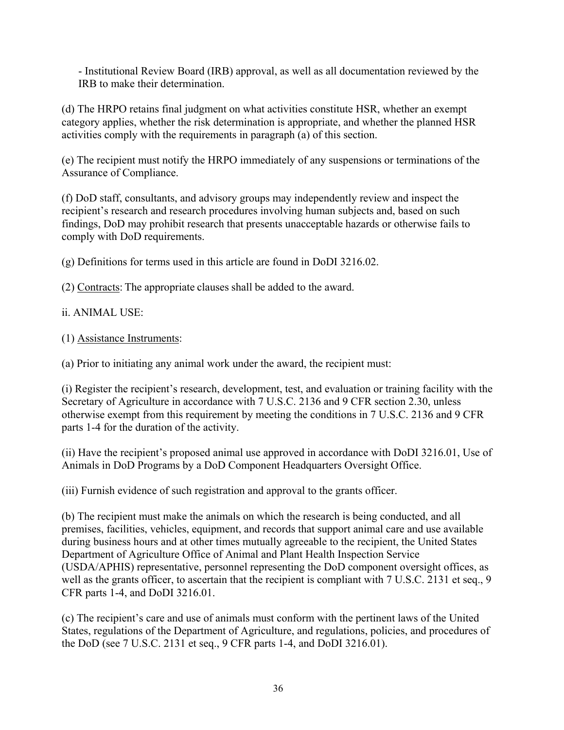- Institutional Review Board (IRB) approval, as well as all documentation reviewed by the IRB to make their determination.

(d) The HRPO retains final judgment on what activities constitute HSR, whether an exempt category applies, whether the risk determination is appropriate, and whether the planned HSR activities comply with the requirements in paragraph (a) of this section.

(e) The recipient must notify the HRPO immediately of any suspensions or terminations of the Assurance of Compliance.

(f) DoD staff, consultants, and advisory groups may independently review and inspect the recipient's research and research procedures involving human subjects and, based on such findings, DoD may prohibit research that presents unacceptable hazards or otherwise fails to comply with DoD requirements.

(g) Definitions for terms used in this article are found in DoDI 3216.02.

(2) Contracts: The appropriate clauses shall be added to the award.

#### ii. ANIMAL USE:

(1) Assistance Instruments:

(a) Prior to initiating any animal work under the award, the recipient must:

(i) Register the recipient's research, development, test, and evaluation or training facility with the Secretary of Agriculture in accordance with 7 U.S.C. 2136 and 9 CFR section 2.30, unless otherwise exempt from this requirement by meeting the conditions in 7 U.S.C. 2136 and 9 CFR parts 1-4 for the duration of the activity.

(ii) Have the recipient's proposed animal use approved in accordance with DoDI 3216.01, Use of Animals in DoD Programs by a DoD Component Headquarters Oversight Office.

(iii) Furnish evidence of such registration and approval to the grants officer.

(b) The recipient must make the animals on which the research is being conducted, and all premises, facilities, vehicles, equipment, and records that support animal care and use available during business hours and at other times mutually agreeable to the recipient, the United States Department of Agriculture Office of Animal and Plant Health Inspection Service (USDA/APHIS) representative, personnel representing the DoD component oversight offices, as well as the grants officer, to ascertain that the recipient is compliant with 7 U.S.C. 2131 et seq., 9 CFR parts 1-4, and DoDI 3216.01.

(c) The recipient's care and use of animals must conform with the pertinent laws of the United States, regulations of the Department of Agriculture, and regulations, policies, and procedures of the DoD (see 7 U.S.C. 2131 et seq., 9 CFR parts 1-4, and DoDI 3216.01).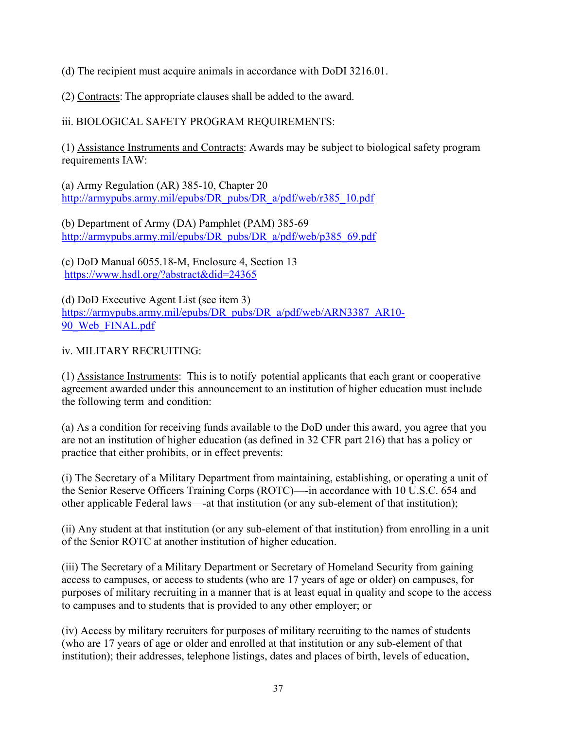(d) The recipient must acquire animals in accordance with DoDI 3216.01.

(2) Contracts: The appropriate clauses shall be added to the award.

iii. BIOLOGICAL SAFETY PROGRAM REQUIREMENTS:

(1) Assistance Instruments and Contracts: Awards may be subject to biological safety program requirements IAW:

(a) Army Regulation (AR) 385-10, Chapter 20 http://armypubs.army.mil/epubs/DR\_pubs/DR\_a/pdf/web/r385\_10.pdf

(b) Department of Army (DA) Pamphlet (PAM) 385-69 http://armypubs.army.mil/epubs/DR\_pubs/DR\_a/pdf/web/p385\_69.pdf

(c) DoD Manual 6055.18-M, Enclosure 4, Section 13 https://www.hsdl.org/?abstract&did=24365

(d) DoD Executive Agent List (see item 3) https://armypubs.army.mil/epubs/DR\_pubs/DR\_a/pdf/web/ARN3387\_AR10- 90 Web FINAL.pdf

iv. MILITARY RECRUITING:

(1) Assistance Instruments: This is to notify potential applicants that each grant or cooperative agreement awarded under this announcement to an institution of higher education must include the following term and condition:

(a) As a condition for receiving funds available to the DoD under this award, you agree that you are not an institution of higher education (as defined in 32 CFR part 216) that has a policy or practice that either prohibits, or in effect prevents:

(i) The Secretary of a Military Department from maintaining, establishing, or operating a unit of the Senior Reserve Officers Training Corps (ROTC)—-in accordance with 10 U.S.C. 654 and other applicable Federal laws—-at that institution (or any sub-element of that institution);

(ii) Any student at that institution (or any sub-element of that institution) from enrolling in a unit of the Senior ROTC at another institution of higher education.

(iii) The Secretary of a Military Department or Secretary of Homeland Security from gaining access to campuses, or access to students (who are 17 years of age or older) on campuses, for purposes of military recruiting in a manner that is at least equal in quality and scope to the access to campuses and to students that is provided to any other employer; or

(iv) Access by military recruiters for purposes of military recruiting to the names of students (who are 17 years of age or older and enrolled at that institution or any sub-element of that institution); their addresses, telephone listings, dates and places of birth, levels of education,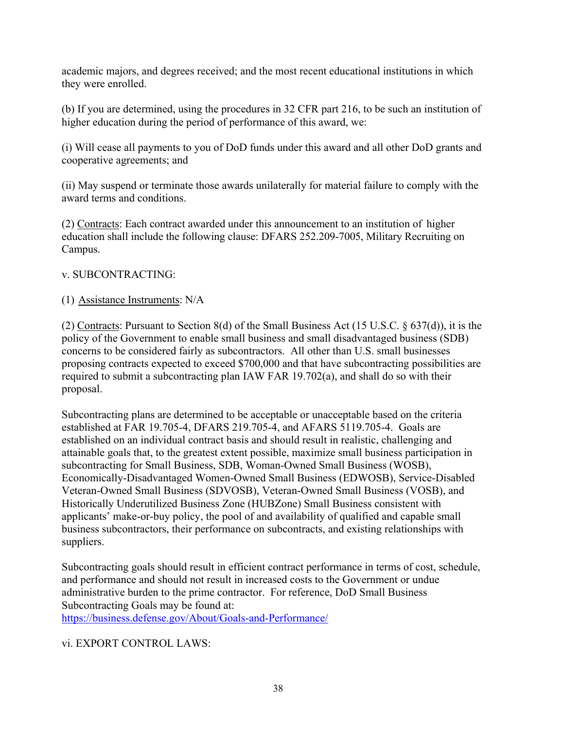academic majors, and degrees received; and the most recent educational institutions in which they were enrolled.

(b) If you are determined, using the procedures in 32 CFR part 216, to be such an institution of higher education during the period of performance of this award, we:

(i) Will cease all payments to you of DoD funds under this award and all other DoD grants and cooperative agreements; and

(ii) May suspend or terminate those awards unilaterally for material failure to comply with the award terms and conditions.

(2) Contracts: Each contract awarded under this announcement to an institution of higher education shall include the following clause: DFARS 252.209-7005, Military Recruiting on Campus.

## v. SUBCONTRACTING:

## (1) Assistance Instruments: N/A

(2) Contracts: Pursuant to Section 8(d) of the Small Business Act (15 U.S.C. § 637(d)), it is the policy of the Government to enable small business and small disadvantaged business (SDB) concerns to be considered fairly as subcontractors. All other than U.S. small businesses proposing contracts expected to exceed \$700,000 and that have subcontracting possibilities are required to submit a subcontracting plan IAW FAR 19.702(a), and shall do so with their proposal.

Subcontracting plans are determined to be acceptable or unacceptable based on the criteria established at FAR 19.705-4, DFARS 219.705-4, and AFARS 5119.705-4. Goals are established on an individual contract basis and should result in realistic, challenging and attainable goals that, to the greatest extent possible, maximize small business participation in subcontracting for Small Business, SDB, Woman-Owned Small Business (WOSB), Economically-Disadvantaged Women-Owned Small Business (EDWOSB), Service-Disabled Veteran-Owned Small Business (SDVOSB), Veteran-Owned Small Business (VOSB), and Historically Underutilized Business Zone (HUBZone) Small Business consistent with applicants' make-or-buy policy, the pool of and availability of qualified and capable small business subcontractors, their performance on subcontracts, and existing relationships with suppliers.

Subcontracting goals should result in efficient contract performance in terms of cost, schedule, and performance and should not result in increased costs to the Government or undue administrative burden to the prime contractor. For reference, DoD Small Business Subcontracting Goals may be found at:

https://business.defense.gov/About/Goals-and-Performance/

## vi. EXPORT CONTROL LAWS: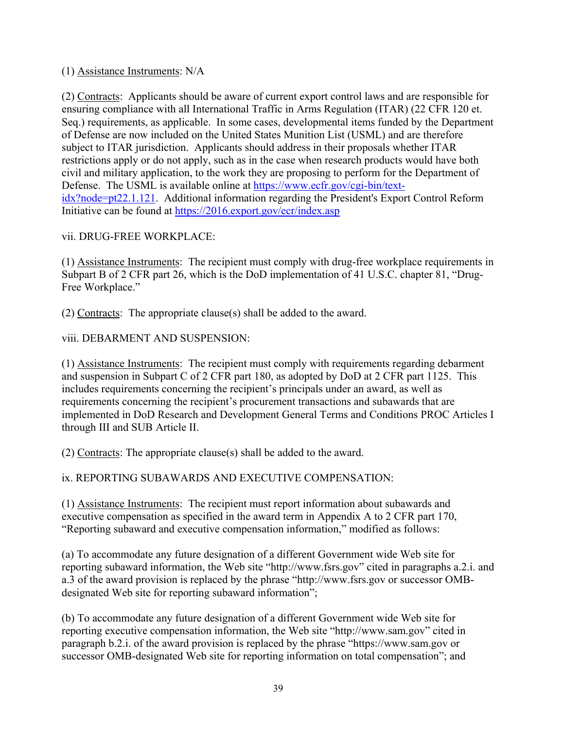## (1) Assistance Instruments: N/A

(2) Contracts: Applicants should be aware of current export control laws and are responsible for ensuring compliance with all International Traffic in Arms Regulation (ITAR) (22 CFR 120 et. Seq.) requirements, as applicable. In some cases, developmental items funded by the Department of Defense are now included on the United States Munition List (USML) and are therefore subject to ITAR jurisdiction. Applicants should address in their proposals whether ITAR restrictions apply or do not apply, such as in the case when research products would have both civil and military application, to the work they are proposing to perform for the Department of Defense. The USML is available online at https://www.ecfr.gov/cgi-bin/textidx?node=pt22.1.121. Additional information regarding the President's Export Control Reform Initiative can be found at https://2016.export.gov/ecr/index.asp

## vii. DRUG-FREE WORKPLACE:

(1) Assistance Instruments: The recipient must comply with drug-free workplace requirements in Subpart B of 2 CFR part 26, which is the DoD implementation of 41 U.S.C. chapter 81, "Drug-Free Workplace."

(2) Contracts: The appropriate clause(s) shall be added to the award.

viii. DEBARMENT AND SUSPENSION:

(1) Assistance Instruments: The recipient must comply with requirements regarding debarment and suspension in Subpart C of 2 CFR part 180, as adopted by DoD at 2 CFR part 1125. This includes requirements concerning the recipient's principals under an award, as well as requirements concerning the recipient's procurement transactions and subawards that are implemented in DoD Research and Development General Terms and Conditions PROC Articles I through III and SUB Article II.

(2) Contracts: The appropriate clause(s) shall be added to the award.

ix. REPORTING SUBAWARDS AND EXECUTIVE COMPENSATION:

(1) Assistance Instruments: The recipient must report information about subawards and executive compensation as specified in the award term in Appendix A to 2 CFR part 170, "Reporting subaward and executive compensation information," modified as follows:

(a) To accommodate any future designation of a different Government wide Web site for reporting subaward information, the Web site "http://www.fsrs.gov" cited in paragraphs a.2.i. and a.3 of the award provision is replaced by the phrase "http://www.fsrs.gov or successor OMBdesignated Web site for reporting subaward information";

(b) To accommodate any future designation of a different Government wide Web site for reporting executive compensation information, the Web site "http://www.sam.gov" cited in paragraph b.2.i. of the award provision is replaced by the phrase "https://www.sam.gov or successor OMB-designated Web site for reporting information on total compensation"; and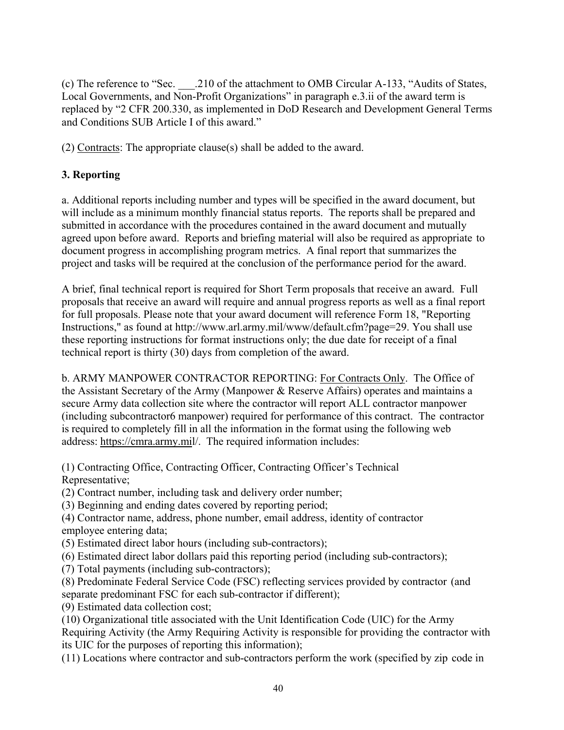(c) The reference to "Sec. \_\_\_.210 of the attachment to OMB Circular A-133, "Audits of States, Local Governments, and Non-Profit Organizations" in paragraph e.3.ii of the award term is replaced by "2 CFR 200.330, as implemented in DoD Research and Development General Terms and Conditions SUB Article I of this award."

(2) Contracts: The appropriate clause(s) shall be added to the award.

## **3. Reporting**

a. Additional reports including number and types will be specified in the award document, but will include as a minimum monthly financial status reports. The reports shall be prepared and submitted in accordance with the procedures contained in the award document and mutually agreed upon before award. Reports and briefing material will also be required as appropriate to document progress in accomplishing program metrics. A final report that summarizes the project and tasks will be required at the conclusion of the performance period for the award.

A brief, final technical report is required for Short Term proposals that receive an award. Full proposals that receive an award will require and annual progress reports as well as a final report for full proposals. Please note that your award document will reference Form 18, "Reporting Instructions," as found at http://www.arl.army.mil/www/default.cfm?page=29. You shall use these reporting instructions for format instructions only; the due date for receipt of a final technical report is thirty (30) days from completion of the award.

b. ARMY MANPOWER CONTRACTOR REPORTING: For Contracts Only. The Office of the Assistant Secretary of the Army (Manpower & Reserve Affairs) operates and maintains a secure Army data collection site where the contractor will report ALL contractor manpower (including subcontractor6 manpower) required for performance of this contract. The contractor is required to completely fill in all the information in the format using the following web address: https://cmra.army.mil/. The required information includes:

(1) Contracting Office, Contracting Officer, Contracting Officer's Technical Representative;

- (2) Contract number, including task and delivery order number;
- (3) Beginning and ending dates covered by reporting period;
- (4) Contractor name, address, phone number, email address, identity of contractor employee entering data;
- (5) Estimated direct labor hours (including sub-contractors);
- (6) Estimated direct labor dollars paid this reporting period (including sub-contractors);
- (7) Total payments (including sub-contractors);
- (8) Predominate Federal Service Code (FSC) reflecting services provided by contractor (and separate predominant FSC for each sub-contractor if different);
- (9) Estimated data collection cost;

(10) Organizational title associated with the Unit Identification Code (UIC) for the Army Requiring Activity (the Army Requiring Activity is responsible for providing the contractor with its UIC for the purposes of reporting this information);

(11) Locations where contractor and sub-contractors perform the work (specified by zip code in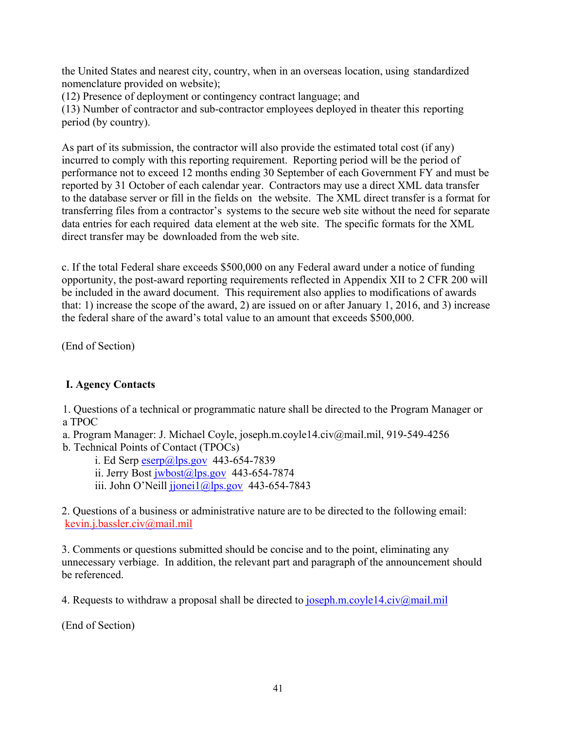the United States and nearest city, country, when in an overseas location, using standardized nomenclature provided on website);

(12) Presence of deployment or contingency contract language; and

(13) Number of contractor and sub-contractor employees deployed in theater this reporting period (by country).

As part of its submission, the contractor will also provide the estimated total cost (if any) incurred to comply with this reporting requirement. Reporting period will be the period of performance not to exceed 12 months ending 30 September of each Government FY and must be reported by 31 October of each calendar year. Contractors may use a direct XML data transfer to the database server or fill in the fields on the website. The XML direct transfer is a format for transferring files from a contractor's systems to the secure web site without the need for separate data entries for each required data element at the web site. The specific formats for the XML direct transfer may be downloaded from the web site.

c. If the total Federal share exceeds \$500,000 on any Federal award under a notice of funding opportunity, the post-award reporting requirements reflected in Appendix XII to 2 CFR 200 will be included in the award document. This requirement also applies to modifications of awards that: 1) increase the scope of the award, 2) are issued on or after January 1, 2016, and 3) increase the federal share of the award's total value to an amount that exceeds \$500,000.

(End of Section)

## **I. Agency Contacts**

1. Questions of a technical or programmatic nature shall be directed to the Program Manager or a TPOC

a. Program Manager: J. Michael Coyle, joseph.m.coyle14.civ@mail.mil, 919-549-4256

b. Technical Points of Contact (TPOCs)

i. Ed Serp  $\exp(a)$ lps.gov 443-654-7839

ii. Jerry Bost  $jwbost@lps.gov$  443-654-7874

iii. John O'Neill  $ijonei1@lps.gov$  443-654-7843

2. Questions of a business or administrative nature are to be directed to the following email: kevin.j.bassler.civ@mail.mil

3. Comments or questions submitted should be concise and to the point, eliminating any unnecessary verbiage. In addition, the relevant part and paragraph of the announcement should be referenced.

4. Requests to withdraw a proposal shall be directed to joseph.m.coyle14.civ@mail.mil

(End of Section)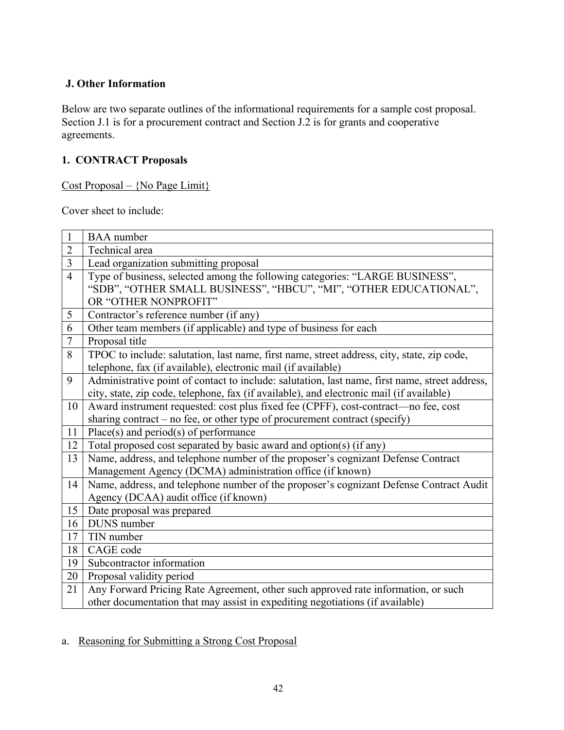## **J. Other Information**

Below are two separate outlines of the informational requirements for a sample cost proposal. Section J.1 is for a procurement contract and Section J.2 is for grants and cooperative agreements.

## **1. CONTRACT Proposals**

Cost Proposal – {No Page Limit}

Cover sheet to include:

| $\mathbf{1}$   | <b>BAA</b> number                                                                              |
|----------------|------------------------------------------------------------------------------------------------|
| $\overline{2}$ | Technical area                                                                                 |
| $\overline{3}$ | Lead organization submitting proposal                                                          |
| $\overline{4}$ | Type of business, selected among the following categories: "LARGE BUSINESS",                   |
|                | "SDB", "OTHER SMALL BUSINESS", "HBCU", "MI", "OTHER EDUCATIONAL",                              |
|                | OR "OTHER NONPROFIT"                                                                           |
| 5              | Contractor's reference number (if any)                                                         |
| 6              | Other team members (if applicable) and type of business for each                               |
| $\overline{7}$ | Proposal title                                                                                 |
| 8              | TPOC to include: salutation, last name, first name, street address, city, state, zip code,     |
|                | telephone, fax (if available), electronic mail (if available)                                  |
| 9              | Administrative point of contact to include: salutation, last name, first name, street address, |
|                | city, state, zip code, telephone, fax (if available), and electronic mail (if available)       |
| 10             | Award instrument requested: cost plus fixed fee (CPFF), cost-contract—no fee, cost             |
|                | sharing contract – no fee, or other type of procurement contract (specify)                     |
| 11             | $Place(s)$ and $period(s)$ of performance                                                      |
| 12             | Total proposed cost separated by basic award and option(s) (if any)                            |
| 13             | Name, address, and telephone number of the proposer's cognizant Defense Contract               |
|                | Management Agency (DCMA) administration office (if known)                                      |
| 14             | Name, address, and telephone number of the proposer's cognizant Defense Contract Audit         |
|                | Agency (DCAA) audit office (if known)                                                          |
| 15             | Date proposal was prepared                                                                     |
| 16             | DUNS number                                                                                    |
| 17             | TIN number                                                                                     |
| 18             | CAGE code                                                                                      |
| 19             | Subcontractor information                                                                      |
| 20             | Proposal validity period                                                                       |
| 21             | Any Forward Pricing Rate Agreement, other such approved rate information, or such              |
|                | other documentation that may assist in expediting negotiations (if available)                  |

a. Reasoning for Submitting a Strong Cost Proposal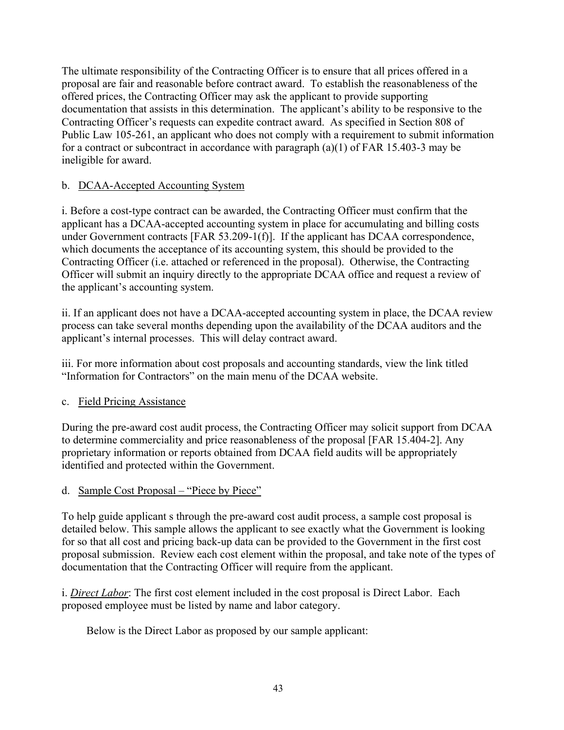The ultimate responsibility of the Contracting Officer is to ensure that all prices offered in a proposal are fair and reasonable before contract award. To establish the reasonableness of the offered prices, the Contracting Officer may ask the applicant to provide supporting documentation that assists in this determination. The applicant's ability to be responsive to the Contracting Officer's requests can expedite contract award. As specified in Section 808 of Public Law 105-261, an applicant who does not comply with a requirement to submit information for a contract or subcontract in accordance with paragraph (a)(1) of FAR 15.403-3 may be ineligible for award.

## b. DCAA-Accepted Accounting System

i. Before a cost-type contract can be awarded, the Contracting Officer must confirm that the applicant has a DCAA-accepted accounting system in place for accumulating and billing costs under Government contracts [FAR 53.209-1(f)]. If the applicant has DCAA correspondence, which documents the acceptance of its accounting system, this should be provided to the Contracting Officer (i.e. attached or referenced in the proposal). Otherwise, the Contracting Officer will submit an inquiry directly to the appropriate DCAA office and request a review of the applicant's accounting system.

ii. If an applicant does not have a DCAA-accepted accounting system in place, the DCAA review process can take several months depending upon the availability of the DCAA auditors and the applicant's internal processes. This will delay contract award.

iii. For more information about cost proposals and accounting standards, view the link titled "Information for Contractors" on the main menu of the DCAA website.

## c. Field Pricing Assistance

During the pre-award cost audit process, the Contracting Officer may solicit support from DCAA to determine commerciality and price reasonableness of the proposal [FAR 15.404-2]. Any proprietary information or reports obtained from DCAA field audits will be appropriately identified and protected within the Government.

## d. Sample Cost Proposal – "Piece by Piece"

To help guide applicant s through the pre-award cost audit process, a sample cost proposal is detailed below. This sample allows the applicant to see exactly what the Government is looking for so that all cost and pricing back-up data can be provided to the Government in the first cost proposal submission. Review each cost element within the proposal, and take note of the types of documentation that the Contracting Officer will require from the applicant.

i. *Direct Labor*: The first cost element included in the cost proposal is Direct Labor. Each proposed employee must be listed by name and labor category.

Below is the Direct Labor as proposed by our sample applicant: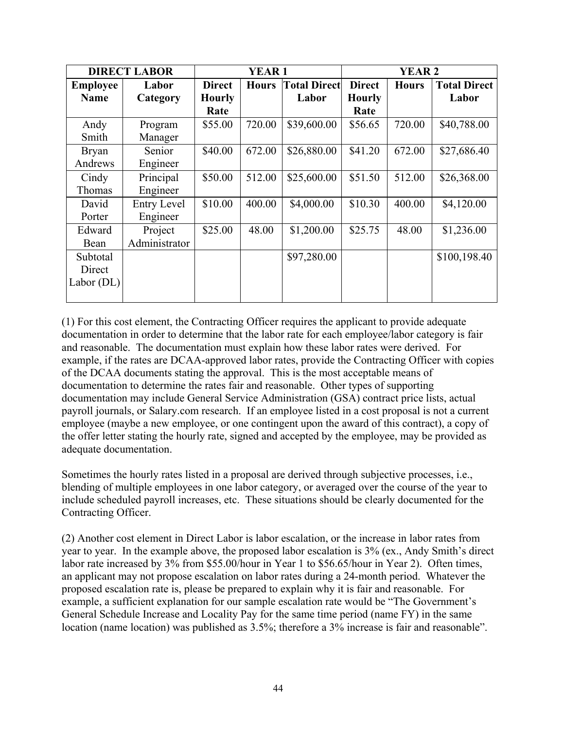| <b>DIRECT LABOR</b>            |                    | <b>YEAR1</b>                   |              |                              | <b>YEAR 2</b>                  |              |                              |
|--------------------------------|--------------------|--------------------------------|--------------|------------------------------|--------------------------------|--------------|------------------------------|
| <b>Employee</b><br><b>Name</b> | Labor<br>Category  | <b>Direct</b><br><b>Hourly</b> | <b>Hours</b> | <b>Total Direct</b><br>Labor | <b>Direct</b><br><b>Hourly</b> | <b>Hours</b> | <b>Total Direct</b><br>Labor |
|                                |                    | Rate                           |              |                              | Rate                           |              |                              |
| Andy                           | Program            | \$55.00                        | 720.00       | \$39,600.00                  | \$56.65                        | 720.00       | \$40,788.00                  |
| Smith                          | Manager            |                                |              |                              |                                |              |                              |
| <b>Bryan</b>                   | Senior             | \$40.00                        | 672.00       | \$26,880.00                  | \$41.20                        | 672.00       | \$27,686.40                  |
| Andrews                        | Engineer           |                                |              |                              |                                |              |                              |
| Cindy                          | Principal          | \$50.00                        | 512.00       | \$25,600.00                  | \$51.50                        | 512.00       | \$26,368.00                  |
| Thomas                         | Engineer           |                                |              |                              |                                |              |                              |
| David                          | <b>Entry Level</b> | \$10.00                        | 400.00       | \$4,000.00                   | \$10.30                        | 400.00       | \$4,120.00                   |
| Porter                         | Engineer           |                                |              |                              |                                |              |                              |
| Edward                         | Project            | \$25.00                        | 48.00        | \$1,200.00                   | \$25.75                        | 48.00        | \$1,236.00                   |
| Bean                           | Administrator      |                                |              |                              |                                |              |                              |
| Subtotal                       |                    |                                |              | \$97,280.00                  |                                |              | \$100,198.40                 |
| Direct                         |                    |                                |              |                              |                                |              |                              |
| Labor $(DL)$                   |                    |                                |              |                              |                                |              |                              |
|                                |                    |                                |              |                              |                                |              |                              |

(1) For this cost element, the Contracting Officer requires the applicant to provide adequate documentation in order to determine that the labor rate for each employee/labor category is fair and reasonable. The documentation must explain how these labor rates were derived. For example, if the rates are DCAA-approved labor rates, provide the Contracting Officer with copies of the DCAA documents stating the approval. This is the most acceptable means of documentation to determine the rates fair and reasonable. Other types of supporting documentation may include General Service Administration (GSA) contract price lists, actual payroll journals, or Salary.com research. If an employee listed in a cost proposal is not a current employee (maybe a new employee, or one contingent upon the award of this contract), a copy of the offer letter stating the hourly rate, signed and accepted by the employee, may be provided as adequate documentation.

Sometimes the hourly rates listed in a proposal are derived through subjective processes, i.e., blending of multiple employees in one labor category, or averaged over the course of the year to include scheduled payroll increases, etc. These situations should be clearly documented for the Contracting Officer.

(2) Another cost element in Direct Labor is labor escalation, or the increase in labor rates from year to year. In the example above, the proposed labor escalation is 3% (ex., Andy Smith's direct labor rate increased by 3% from \$55.00/hour in Year 1 to \$56.65/hour in Year 2). Often times, an applicant may not propose escalation on labor rates during a 24-month period. Whatever the proposed escalation rate is, please be prepared to explain why it is fair and reasonable. For example, a sufficient explanation for our sample escalation rate would be "The Government's General Schedule Increase and Locality Pay for the same time period (name FY) in the same location (name location) was published as 3.5%; therefore a 3% increase is fair and reasonable".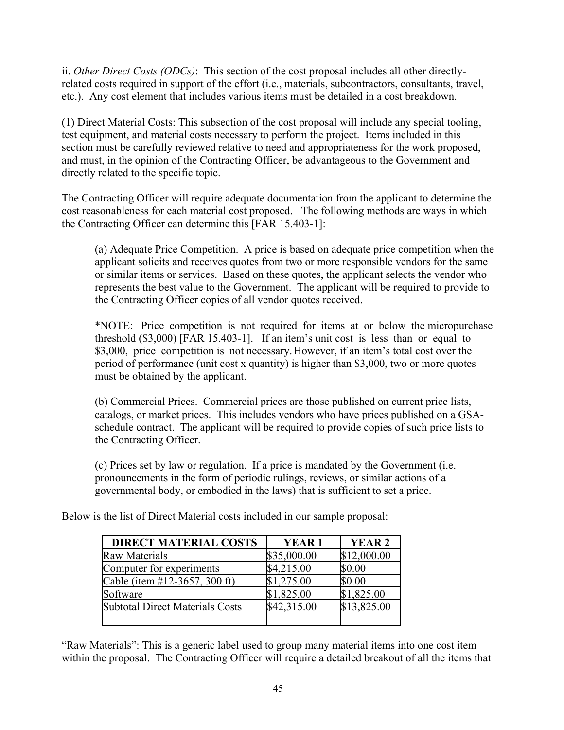ii. *Other Direct Costs (ODCs)*: This section of the cost proposal includes all other directlyrelated costs required in support of the effort (i.e., materials, subcontractors, consultants, travel, etc.). Any cost element that includes various items must be detailed in a cost breakdown.

(1) Direct Material Costs: This subsection of the cost proposal will include any special tooling, test equipment, and material costs necessary to perform the project. Items included in this section must be carefully reviewed relative to need and appropriateness for the work proposed, and must, in the opinion of the Contracting Officer, be advantageous to the Government and directly related to the specific topic.

The Contracting Officer will require adequate documentation from the applicant to determine the cost reasonableness for each material cost proposed. The following methods are ways in which the Contracting Officer can determine this [FAR 15.403-1]:

(a) Adequate Price Competition. A price is based on adequate price competition when the applicant solicits and receives quotes from two or more responsible vendors for the same or similar items or services. Based on these quotes, the applicant selects the vendor who represents the best value to the Government. The applicant will be required to provide to the Contracting Officer copies of all vendor quotes received.

\*NOTE: Price competition is not required for items at or below the micropurchase threshold (\$3,000) [FAR 15.403-1]. If an item's unit cost is less than or equal to \$3,000, price competition is not necessary. However, if an item's total cost over the period of performance (unit cost x quantity) is higher than \$3,000, two or more quotes must be obtained by the applicant.

(b) Commercial Prices. Commercial prices are those published on current price lists, catalogs, or market prices. This includes vendors who have prices published on a GSAschedule contract. The applicant will be required to provide copies of such price lists to the Contracting Officer.

(c) Prices set by law or regulation. If a price is mandated by the Government (i.e. pronouncements in the form of periodic rulings, reviews, or similar actions of a governmental body, or embodied in the laws) that is sufficient to set a price.

| <b>DIRECT MATERIAL COSTS</b>           | YEAR 1      | <b>YEAR 2</b> |
|----------------------------------------|-------------|---------------|
| <b>Raw Materials</b>                   | \$35,000.00 | \$12,000.00   |
| Computer for experiments               | \$4,215.00  | \$0.00        |
| Cable (item #12-3657, 300 ft)          | \$1,275.00  | \$0.00        |
| Software                               | \$1,825.00  | \$1,825.00    |
| <b>Subtotal Direct Materials Costs</b> | \$42,315.00 | \$13,825.00   |
|                                        |             |               |

Below is the list of Direct Material costs included in our sample proposal:

"Raw Materials": This is a generic label used to group many material items into one cost item within the proposal. The Contracting Officer will require a detailed breakout of all the items that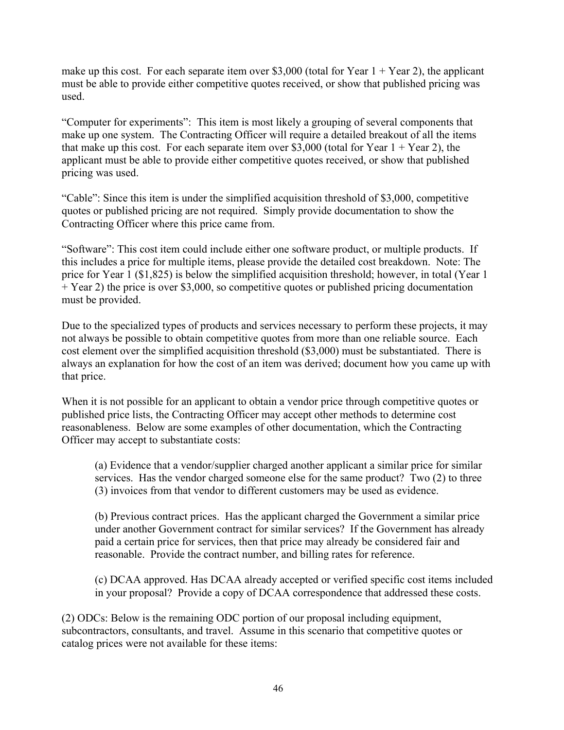make up this cost. For each separate item over \$3,000 (total for Year  $1 +$  Year 2), the applicant must be able to provide either competitive quotes received, or show that published pricing was used.

"Computer for experiments": This item is most likely a grouping of several components that make up one system. The Contracting Officer will require a detailed breakout of all the items that make up this cost. For each separate item over \$3,000 (total for Year  $1 +$  Year 2), the applicant must be able to provide either competitive quotes received, or show that published pricing was used.

"Cable": Since this item is under the simplified acquisition threshold of \$3,000, competitive quotes or published pricing are not required. Simply provide documentation to show the Contracting Officer where this price came from.

"Software": This cost item could include either one software product, or multiple products. If this includes a price for multiple items, please provide the detailed cost breakdown. Note: The price for Year 1 (\$1,825) is below the simplified acquisition threshold; however, in total (Year 1 + Year 2) the price is over \$3,000, so competitive quotes or published pricing documentation must be provided.

Due to the specialized types of products and services necessary to perform these projects, it may not always be possible to obtain competitive quotes from more than one reliable source. Each cost element over the simplified acquisition threshold (\$3,000) must be substantiated. There is always an explanation for how the cost of an item was derived; document how you came up with that price.

When it is not possible for an applicant to obtain a vendor price through competitive quotes or published price lists, the Contracting Officer may accept other methods to determine cost reasonableness. Below are some examples of other documentation, which the Contracting Officer may accept to substantiate costs:

(a) Evidence that a vendor/supplier charged another applicant a similar price for similar services. Has the vendor charged someone else for the same product? Two (2) to three (3) invoices from that vendor to different customers may be used as evidence.

(b) Previous contract prices. Has the applicant charged the Government a similar price under another Government contract for similar services? If the Government has already paid a certain price for services, then that price may already be considered fair and reasonable. Provide the contract number, and billing rates for reference.

(c) DCAA approved. Has DCAA already accepted or verified specific cost items included in your proposal? Provide a copy of DCAA correspondence that addressed these costs.

(2) ODCs: Below is the remaining ODC portion of our proposal including equipment, subcontractors, consultants, and travel. Assume in this scenario that competitive quotes or catalog prices were not available for these items: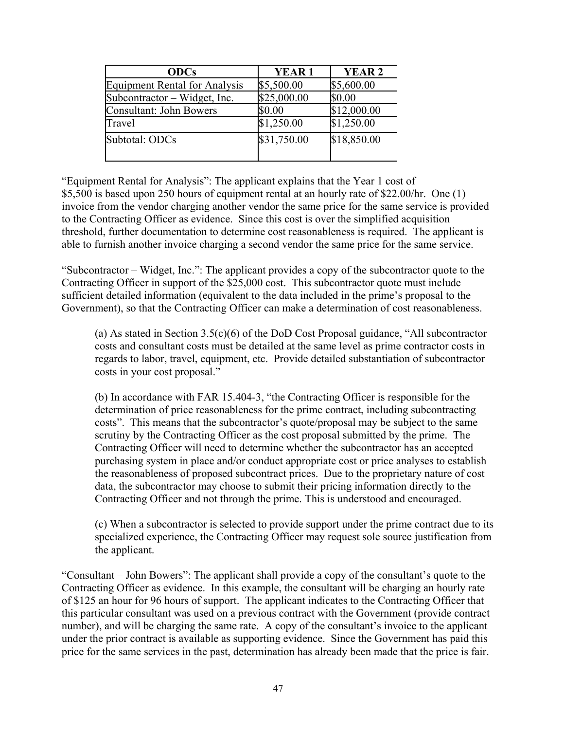| <b>ODCs</b>                          | <b>YEAR1</b> | <b>YEAR 2</b> |
|--------------------------------------|--------------|---------------|
| <b>Equipment Rental for Analysis</b> | \$5,500.00   | \$5,600.00    |
| Subcontractor – Widget, Inc.         | \$25,000.00  | \$0.00        |
| Consultant: John Bowers              | \$0.00       | \$12,000.00   |
| Travel                               | \$1,250.00   | \$1,250.00    |
| Subtotal: ODCs                       | \$31,750.00  | \$18,850.00   |

"Equipment Rental for Analysis": The applicant explains that the Year 1 cost of \$5,500 is based upon 250 hours of equipment rental at an hourly rate of \$22.00/hr. One (1) invoice from the vendor charging another vendor the same price for the same service is provided to the Contracting Officer as evidence. Since this cost is over the simplified acquisition threshold, further documentation to determine cost reasonableness is required. The applicant is able to furnish another invoice charging a second vendor the same price for the same service.

"Subcontractor – Widget, Inc.": The applicant provides a copy of the subcontractor quote to the Contracting Officer in support of the \$25,000 cost. This subcontractor quote must include sufficient detailed information (equivalent to the data included in the prime's proposal to the Government), so that the Contracting Officer can make a determination of cost reasonableness.

(a) As stated in Section 3.5(c)(6) of the DoD Cost Proposal guidance, "All subcontractor costs and consultant costs must be detailed at the same level as prime contractor costs in regards to labor, travel, equipment, etc. Provide detailed substantiation of subcontractor costs in your cost proposal."

(b) In accordance with FAR 15.404-3, "the Contracting Officer is responsible for the determination of price reasonableness for the prime contract, including subcontracting costs". This means that the subcontractor's quote/proposal may be subject to the same scrutiny by the Contracting Officer as the cost proposal submitted by the prime. The Contracting Officer will need to determine whether the subcontractor has an accepted purchasing system in place and/or conduct appropriate cost or price analyses to establish the reasonableness of proposed subcontract prices. Due to the proprietary nature of cost data, the subcontractor may choose to submit their pricing information directly to the Contracting Officer and not through the prime. This is understood and encouraged.

(c) When a subcontractor is selected to provide support under the prime contract due to its specialized experience, the Contracting Officer may request sole source justification from the applicant.

"Consultant – John Bowers": The applicant shall provide a copy of the consultant's quote to the Contracting Officer as evidence. In this example, the consultant will be charging an hourly rate of \$125 an hour for 96 hours of support. The applicant indicates to the Contracting Officer that this particular consultant was used on a previous contract with the Government (provide contract number), and will be charging the same rate. A copy of the consultant's invoice to the applicant under the prior contract is available as supporting evidence. Since the Government has paid this price for the same services in the past, determination has already been made that the price is fair.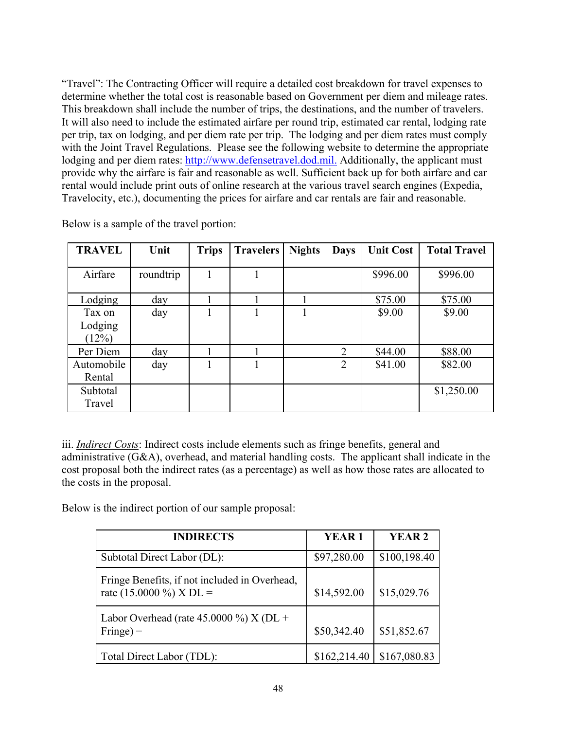"Travel": The Contracting Officer will require a detailed cost breakdown for travel expenses to determine whether the total cost is reasonable based on Government per diem and mileage rates. This breakdown shall include the number of trips, the destinations, and the number of travelers. It will also need to include the estimated airfare per round trip, estimated car rental, lodging rate per trip, tax on lodging, and per diem rate per trip. The lodging and per diem rates must comply with the Joint Travel Regulations. Please see the following website to determine the appropriate lodging and per diem rates: http://www.defensetravel.dod.mil. Additionally, the applicant must provide why the airfare is fair and reasonable as well. Sufficient back up for both airfare and car rental would include print outs of online research at the various travel search engines (Expedia, Travelocity, etc.), documenting the prices for airfare and car rentals are fair and reasonable.

| <b>TRAVEL</b>              | Unit      | <b>Trips</b> | <b>Travelers</b> | <b>Nights</b> | <b>Days</b>    | <b>Unit Cost</b> | <b>Total Travel</b> |
|----------------------------|-----------|--------------|------------------|---------------|----------------|------------------|---------------------|
| Airfare                    | roundtrip |              |                  |               |                | \$996.00         | \$996.00            |
| Lodging                    | day       |              |                  |               |                | \$75.00          | \$75.00             |
| Tax on<br>Lodging<br>(12%) | day       |              |                  |               |                | \$9.00           | \$9.00              |
| Per Diem                   | day       |              |                  |               | 2              | \$44.00          | \$88.00             |
| Automobile<br>Rental       | day       |              |                  |               | $\overline{2}$ | \$41.00          | \$82.00             |
| Subtotal<br>Travel         |           |              |                  |               |                |                  | \$1,250.00          |

Below is a sample of the travel portion:

iii. *Indirect Costs*: Indirect costs include elements such as fringe benefits, general and administrative (G&A), overhead, and material handling costs. The applicant shall indicate in the cost proposal both the indirect rates (as a percentage) as well as how those rates are allocated to the costs in the proposal.

Below is the indirect portion of our sample proposal:

| <b>INDIRECTS</b>                                                         | <b>YEAR1</b> | YEAR <sub>2</sub> |
|--------------------------------------------------------------------------|--------------|-------------------|
| Subtotal Direct Labor (DL):                                              | \$97,280.00  | \$100,198.40      |
| Fringe Benefits, if not included in Overhead,<br>rate (15.0000 %) X DL = | \$14,592.00  | \$15,029.76       |
| Labor Overhead (rate $45.0000\%$ ) X (DL +<br>$\text{Fringe}$ ) =        | \$50,342.40  | \$51,852.67       |
| Total Direct Labor (TDL):                                                | \$162,214.40 | \$167,080.83      |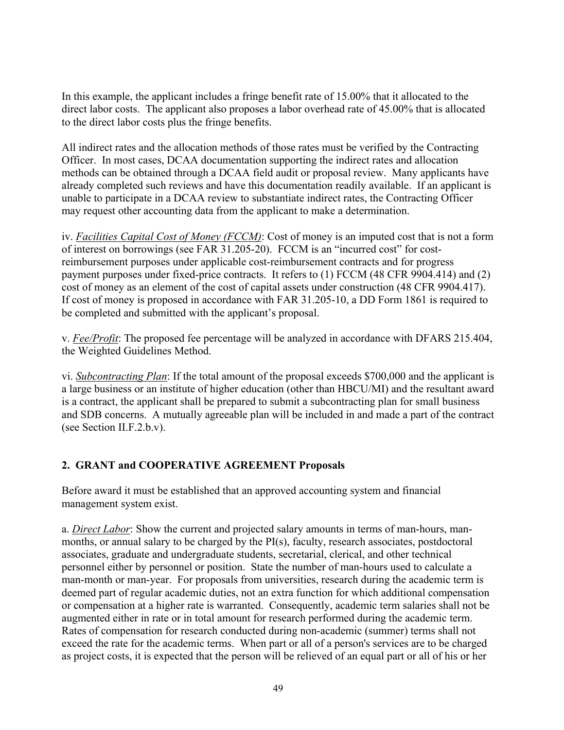In this example, the applicant includes a fringe benefit rate of 15.00% that it allocated to the direct labor costs. The applicant also proposes a labor overhead rate of 45.00% that is allocated to the direct labor costs plus the fringe benefits.

All indirect rates and the allocation methods of those rates must be verified by the Contracting Officer. In most cases, DCAA documentation supporting the indirect rates and allocation methods can be obtained through a DCAA field audit or proposal review. Many applicants have already completed such reviews and have this documentation readily available. If an applicant is unable to participate in a DCAA review to substantiate indirect rates, the Contracting Officer may request other accounting data from the applicant to make a determination.

iv. *Facilities Capital Cost of Money (FCCM)*: Cost of money is an imputed cost that is not a form of interest on borrowings (see FAR 31.205-20). FCCM is an "incurred cost" for costreimbursement purposes under applicable cost-reimbursement contracts and for progress payment purposes under fixed-price contracts. It refers to (1) FCCM (48 CFR 9904.414) and (2) cost of money as an element of the cost of capital assets under construction (48 CFR 9904.417). If cost of money is proposed in accordance with FAR 31.205-10, a DD Form 1861 is required to be completed and submitted with the applicant's proposal.

v. *Fee/Profit*: The proposed fee percentage will be analyzed in accordance with DFARS 215.404, the Weighted Guidelines Method.

vi. *Subcontracting Plan*: If the total amount of the proposal exceeds \$700,000 and the applicant is a large business or an institute of higher education (other than HBCU/MI) and the resultant award is a contract, the applicant shall be prepared to submit a subcontracting plan for small business and SDB concerns. A mutually agreeable plan will be included in and made a part of the contract (see Section II.F.2.b.v).

## **2. GRANT and COOPERATIVE AGREEMENT Proposals**

Before award it must be established that an approved accounting system and financial management system exist.

a. *Direct Labor*: Show the current and projected salary amounts in terms of man-hours, manmonths, or annual salary to be charged by the  $PI(s)$ , faculty, research associates, postdoctoral associates, graduate and undergraduate students, secretarial, clerical, and other technical personnel either by personnel or position. State the number of man-hours used to calculate a man-month or man-year. For proposals from universities, research during the academic term is deemed part of regular academic duties, not an extra function for which additional compensation or compensation at a higher rate is warranted. Consequently, academic term salaries shall not be augmented either in rate or in total amount for research performed during the academic term. Rates of compensation for research conducted during non-academic (summer) terms shall not exceed the rate for the academic terms. When part or all of a person's services are to be charged as project costs, it is expected that the person will be relieved of an equal part or all of his or her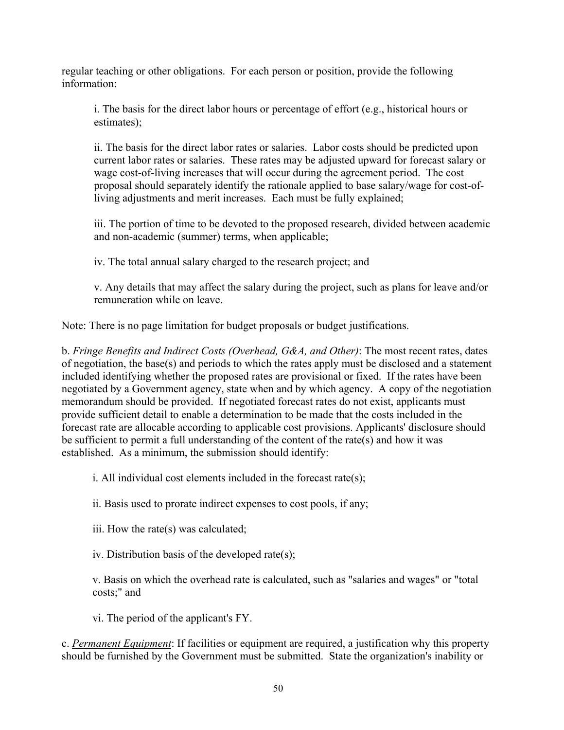regular teaching or other obligations. For each person or position, provide the following information:

i. The basis for the direct labor hours or percentage of effort (e.g., historical hours or estimates);

ii. The basis for the direct labor rates or salaries. Labor costs should be predicted upon current labor rates or salaries. These rates may be adjusted upward for forecast salary or wage cost-of-living increases that will occur during the agreement period. The cost proposal should separately identify the rationale applied to base salary/wage for cost-ofliving adjustments and merit increases. Each must be fully explained;

iii. The portion of time to be devoted to the proposed research, divided between academic and non-academic (summer) terms, when applicable;

iv. The total annual salary charged to the research project; and

v. Any details that may affect the salary during the project, such as plans for leave and/or remuneration while on leave.

Note: There is no page limitation for budget proposals or budget justifications.

b. *Fringe Benefits and Indirect Costs (Overhead, G&A, and Other)*: The most recent rates, dates of negotiation, the base(s) and periods to which the rates apply must be disclosed and a statement included identifying whether the proposed rates are provisional or fixed. If the rates have been negotiated by a Government agency, state when and by which agency. A copy of the negotiation memorandum should be provided. If negotiated forecast rates do not exist, applicants must provide sufficient detail to enable a determination to be made that the costs included in the forecast rate are allocable according to applicable cost provisions. Applicants' disclosure should be sufficient to permit a full understanding of the content of the rate(s) and how it was established. As a minimum, the submission should identify:

i. All individual cost elements included in the forecast rate(s);

ii. Basis used to prorate indirect expenses to cost pools, if any;

iii. How the rate(s) was calculated;

iv. Distribution basis of the developed rate(s);

v. Basis on which the overhead rate is calculated, such as "salaries and wages" or "total costs;" and

vi. The period of the applicant's FY.

c. *Permanent Equipment*: If facilities or equipment are required, a justification why this property should be furnished by the Government must be submitted. State the organization's inability or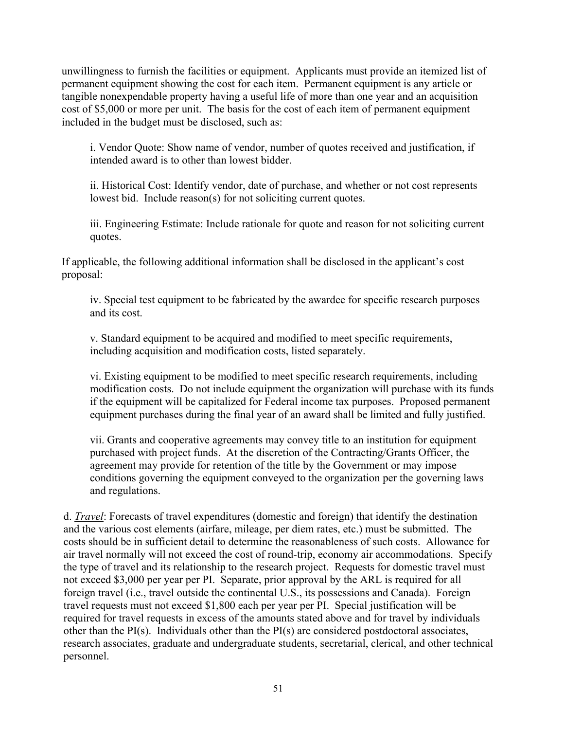unwillingness to furnish the facilities or equipment. Applicants must provide an itemized list of permanent equipment showing the cost for each item. Permanent equipment is any article or tangible nonexpendable property having a useful life of more than one year and an acquisition cost of \$5,000 or more per unit. The basis for the cost of each item of permanent equipment included in the budget must be disclosed, such as:

i. Vendor Quote: Show name of vendor, number of quotes received and justification, if intended award is to other than lowest bidder.

ii. Historical Cost: Identify vendor, date of purchase, and whether or not cost represents lowest bid. Include reason(s) for not soliciting current quotes.

iii. Engineering Estimate: Include rationale for quote and reason for not soliciting current quotes.

If applicable, the following additional information shall be disclosed in the applicant's cost proposal:

iv. Special test equipment to be fabricated by the awardee for specific research purposes and its cost.

v. Standard equipment to be acquired and modified to meet specific requirements, including acquisition and modification costs, listed separately.

vi. Existing equipment to be modified to meet specific research requirements, including modification costs. Do not include equipment the organization will purchase with its funds if the equipment will be capitalized for Federal income tax purposes. Proposed permanent equipment purchases during the final year of an award shall be limited and fully justified.

vii. Grants and cooperative agreements may convey title to an institution for equipment purchased with project funds. At the discretion of the Contracting/Grants Officer, the agreement may provide for retention of the title by the Government or may impose conditions governing the equipment conveyed to the organization per the governing laws and regulations.

d. *Travel*: Forecasts of travel expenditures (domestic and foreign) that identify the destination and the various cost elements (airfare, mileage, per diem rates, etc.) must be submitted. The costs should be in sufficient detail to determine the reasonableness of such costs. Allowance for air travel normally will not exceed the cost of round-trip, economy air accommodations. Specify the type of travel and its relationship to the research project. Requests for domestic travel must not exceed \$3,000 per year per PI. Separate, prior approval by the ARL is required for all foreign travel (i.e., travel outside the continental U.S., its possessions and Canada). Foreign travel requests must not exceed \$1,800 each per year per PI. Special justification will be required for travel requests in excess of the amounts stated above and for travel by individuals other than the PI(s). Individuals other than the PI(s) are considered postdoctoral associates, research associates, graduate and undergraduate students, secretarial, clerical, and other technical personnel.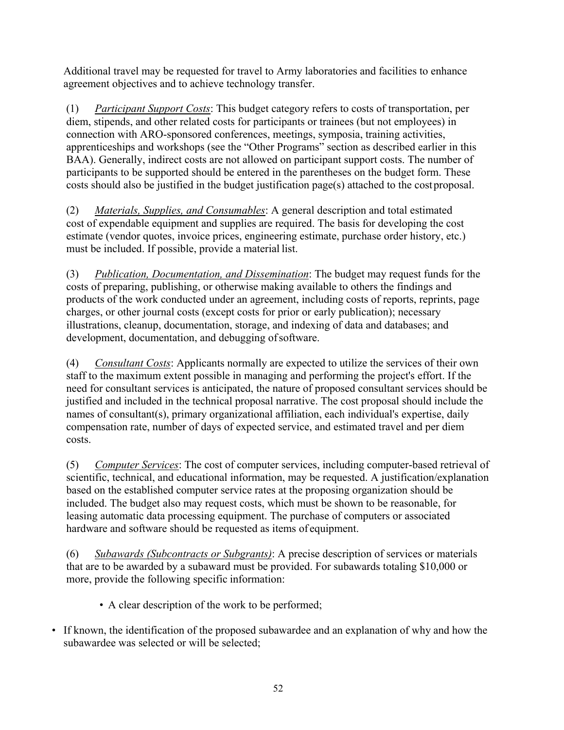Additional travel may be requested for travel to Army laboratories and facilities to enhance agreement objectives and to achieve technology transfer.

(1) *Participant Support Costs*: This budget category refers to costs of transportation, per diem, stipends, and other related costs for participants or trainees (but not employees) in connection with ARO-sponsored conferences, meetings, symposia, training activities, apprenticeships and workshops (see the "Other Programs" section as described earlier in this BAA). Generally, indirect costs are not allowed on participant support costs. The number of participants to be supported should be entered in the parentheses on the budget form. These costs should also be justified in the budget justification page(s) attached to the cost proposal.

(2) *Materials, Supplies, and Consumables*: A general description and total estimated cost of expendable equipment and supplies are required. The basis for developing the cost estimate (vendor quotes, invoice prices, engineering estimate, purchase order history, etc.) must be included. If possible, provide a material list.

(3) *Publication, Documentation, and Dissemination*: The budget may request funds for the costs of preparing, publishing, or otherwise making available to others the findings and products of the work conducted under an agreement, including costs of reports, reprints, page charges, or other journal costs (except costs for prior or early publication); necessary illustrations, cleanup, documentation, storage, and indexing of data and databases; and development, documentation, and debugging of software.

(4) *Consultant Costs*: Applicants normally are expected to utilize the services of their own staff to the maximum extent possible in managing and performing the project's effort. If the need for consultant services is anticipated, the nature of proposed consultant services should be justified and included in the technical proposal narrative. The cost proposal should include the names of consultant(s), primary organizational affiliation, each individual's expertise, daily compensation rate, number of days of expected service, and estimated travel and per diem costs.

(5) *Computer Services*: The cost of computer services, including computer-based retrieval of scientific, technical, and educational information, may be requested. A justification/explanation based on the established computer service rates at the proposing organization should be included. The budget also may request costs, which must be shown to be reasonable, for leasing automatic data processing equipment. The purchase of computers or associated hardware and software should be requested as items of equipment.

(6) *Subawards (Subcontracts or Subgrants)*: A precise description of services or materials that are to be awarded by a subaward must be provided. For subawards totaling \$10,000 or more, provide the following specific information:

- A clear description of the work to be performed;
- If known, the identification of the proposed subawardee and an explanation of why and how the subawardee was selected or will be selected;